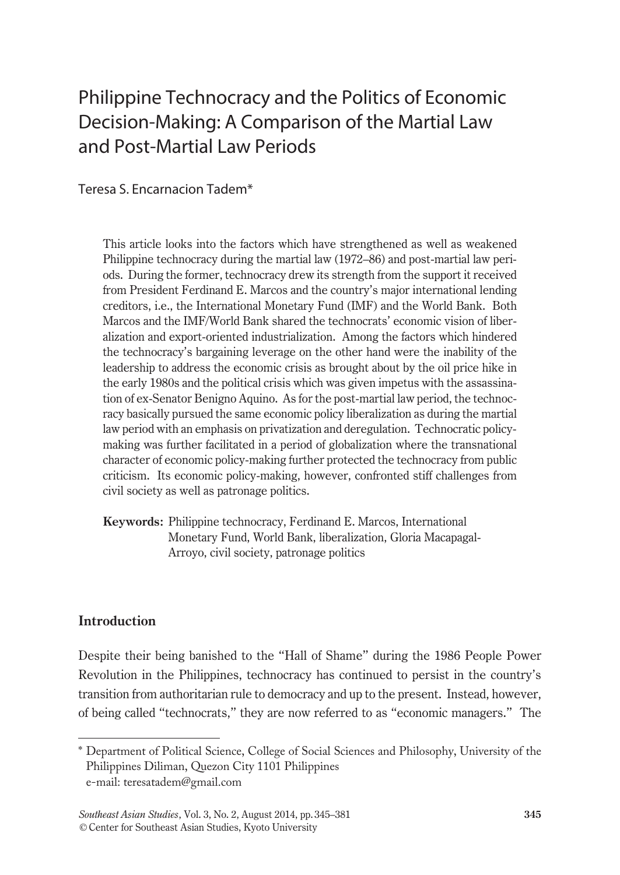# Philippine Technocracy and the Politics of Economic Decision-Making: A Comparison of the Martial Law and Post-Martial Law Periods

Teresa S. Encarnacion Tadem\*

This article looks into the factors which have strengthened as well as weakened Philippine technocracy during the martial law (1972–86) and post-martial law periods. During the former, technocracy drew its strength from the support it received from President Ferdinand E. Marcos and the country's major international lending creditors, i.e., the International Monetary Fund (IMF) and the World Bank. Both Marcos and the IMF/World Bank shared the technocrats' economic vision of liberalization and export-oriented industrialization. Among the factors which hindered the technocracy's bargaining leverage on the other hand were the inability of the leadership to address the economic crisis as brought about by the oil price hike in the early 1980s and the political crisis which was given impetus with the assassination of ex-Senator Benigno Aquino. As for the post-martial law period, the technocracy basically pursued the same economic policy liberalization as during the martial law period with an emphasis on privatization and deregulation. Technocratic policymaking was further facilitated in a period of globalization where the transnational character of economic policy-making further protected the technocracy from public criticism. Its economic policy-making, however, confronted stiff challenges from civil society as well as patronage politics.

**Keywords:** Philippine technocracy, Ferdinand E. Marcos, International Monetary Fund, World Bank, liberalization, Gloria Macapagal-Arroyo, civil society, patronage politics

### **Introduction**

Despite their being banished to the "Hall of Shame" during the 1986 People Power Revolution in the Philippines, technocracy has continued to persist in the country's transition from authoritarian rule to democracy and up to the present. Instead, however, of being called "technocrats," they are now referred to as "economic managers." The

<sup>\*</sup> Department of Political Science, College of Social Sciences and Philosophy, University of the Philippines Diliman, Quezon City 1101 Philippines e-mail: teresatadem@gmail.com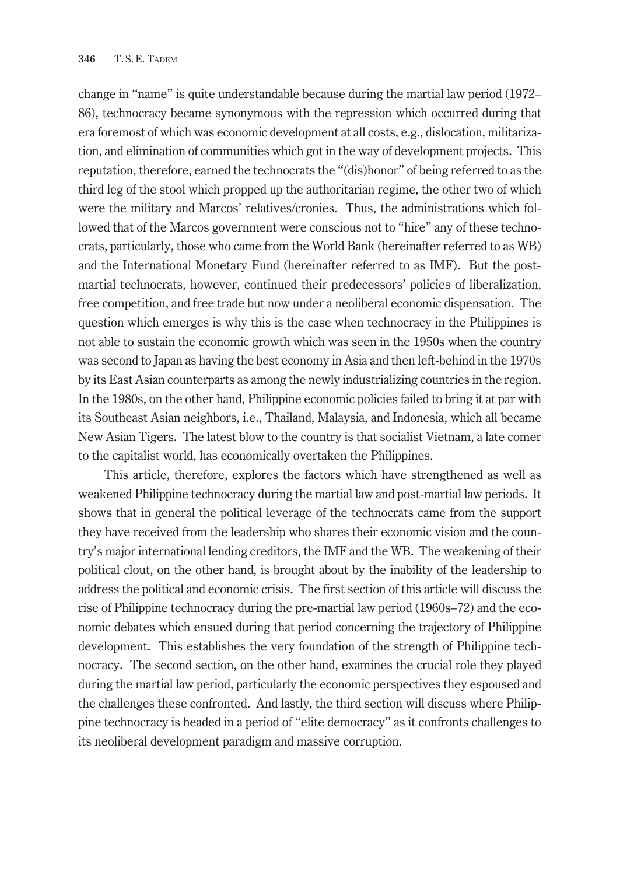change in "name" is quite understandable because during the martial law period (1972– 86), technocracy became synonymous with the repression which occurred during that era foremost of which was economic development at all costs, e.g., dislocation, militarization, and elimination of communities which got in the way of development projects. This reputation, therefore, earned the technocrats the "(dis)honor" of being referred to as the third leg of the stool which propped up the authoritarian regime, the other two of which were the military and Marcos' relatives/cronies. Thus, the administrations which followed that of the Marcos government were conscious not to "hire" any of these technocrats, particularly, those who came from the World Bank (hereinafter referred to as WB) and the International Monetary Fund (hereinafter referred to as IMF). But the postmartial technocrats, however, continued their predecessors' policies of liberalization, free competition, and free trade but now under a neoliberal economic dispensation. The question which emerges is why this is the case when technocracy in the Philippines is not able to sustain the economic growth which was seen in the 1950s when the country was second to Japan as having the best economy in Asia and then left-behind in the 1970s by its East Asian counterparts as among the newly industrializing countries in the region. In the 1980s, on the other hand, Philippine economic policies failed to bring it at par with its Southeast Asian neighbors, i.e., Thailand, Malaysia, and Indonesia, which all became New Asian Tigers. The latest blow to the country is that socialist Vietnam, a late comer to the capitalist world, has economically overtaken the Philippines.

This article, therefore, explores the factors which have strengthened as well as weakened Philippine technocracy during the martial law and post-martial law periods. It shows that in general the political leverage of the technocrats came from the support they have received from the leadership who shares their economic vision and the country's major international lending creditors, the IMF and the WB. The weakening of their political clout, on the other hand, is brought about by the inability of the leadership to address the political and economic crisis. The first section of this article will discuss the rise of Philippine technocracy during the pre-martial law period (1960s–72) and the economic debates which ensued during that period concerning the trajectory of Philippine development. This establishes the very foundation of the strength of Philippine technocracy. The second section, on the other hand, examines the crucial role they played during the martial law period, particularly the economic perspectives they espoused and the challenges these confronted. And lastly, the third section will discuss where Philippine technocracy is headed in a period of "elite democracy" as it confronts challenges to its neoliberal development paradigm and massive corruption.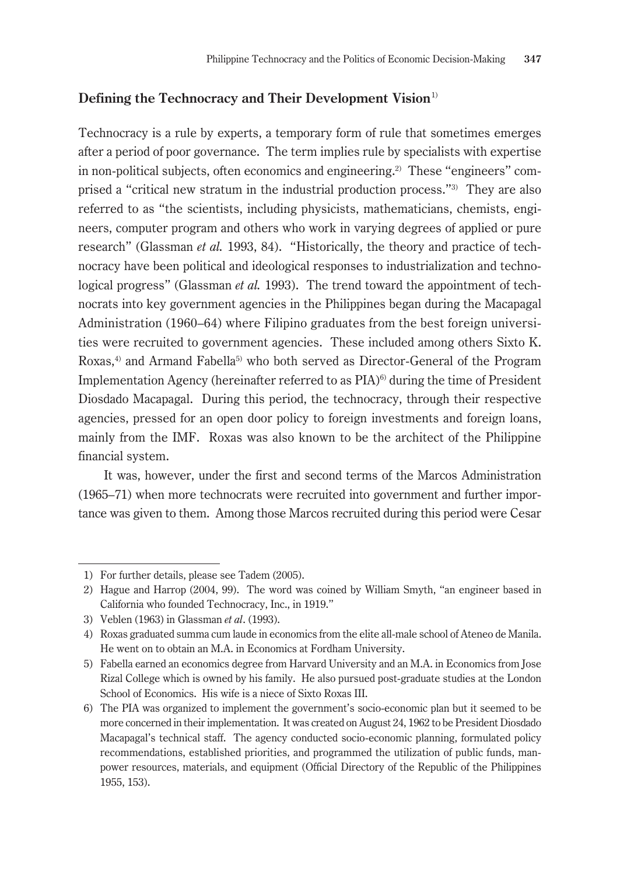## **Defining the Technocracy and Their Development Vision**<sup>1)</sup>

Technocracy is a rule by experts, a temporary form of rule that sometimes emerges after a period of poor governance. The term implies rule by specialists with expertise in non-political subjects, often economics and engineering.2) These "engineers" comprised a "critical new stratum in the industrial production process."3) They are also referred to as "the scientists, including physicists, mathematicians, chemists, engineers, computer program and others who work in varying degrees of applied or pure research" (Glassman *et al.* 1993, 84). "Historically, the theory and practice of technocracy have been political and ideological responses to industrialization and technological progress" (Glassman *et al.* 1993). The trend toward the appointment of technocrats into key government agencies in the Philippines began during the Macapagal Administration (1960–64) where Filipino graduates from the best foreign universities were recruited to government agencies. These included among others Sixto K. Roxas, $4$ ) and Armand Fabella<sup>5</sup>) who both served as Director-General of the Program Implementation Agency (hereinafter referred to as PIA)<sup>6)</sup> during the time of President Diosdado Macapagal. During this period, the technocracy, through their respective agencies, pressed for an open door policy to foreign investments and foreign loans, mainly from the IMF. Roxas was also known to be the architect of the Philippine financial system.

It was, however, under the first and second terms of the Marcos Administration (1965–71) when more technocrats were recruited into government and further importance was given to them. Among those Marcos recruited during this period were Cesar

<sup>1)</sup> For further details, please see Tadem (2005).

<sup>2)</sup> Hague and Harrop (2004, 99). The word was coined by William Smyth, "an engineer based in California who founded Technocracy, Inc., in 1919."

<sup>3)</sup> Veblen (1963) in Glassman *et al*. (1993).

<sup>4)</sup> Roxas graduated summa cum laude in economics from the elite all-male school of Ateneo de Manila. He went on to obtain an M.A. in Economics at Fordham University.

<sup>5)</sup> Fabella earned an economics degree from Harvard University and an M.A. in Economics from Jose Rizal College which is owned by his family. He also pursued post-graduate studies at the London School of Economics. His wife is a niece of Sixto Roxas III.

<sup>6)</sup> The PIA was organized to implement the government's socio-economic plan but it seemed to be more concerned in their implementation. It was created on August 24, 1962 to be President Diosdado Macapagal's technical staff. The agency conducted socio-economic planning, formulated policy recommendations, established priorities, and programmed the utilization of public funds, manpower resources, materials, and equipment (Official Directory of the Republic of the Philippines 1955, 153).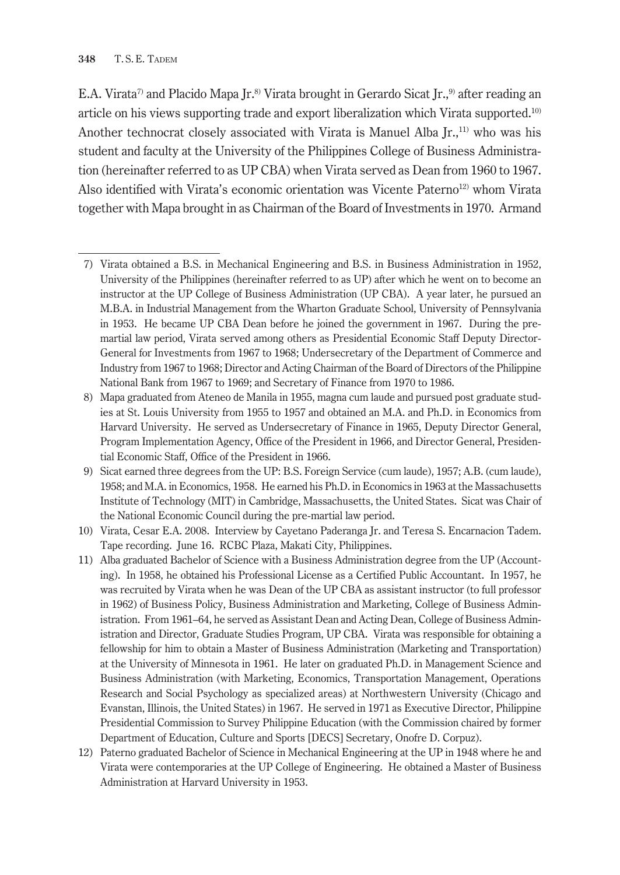E.A. Virata<sup>7</sup> and Placido Mapa Ir.<sup>8)</sup> Virata brought in Gerardo Sicat Ir.,<sup>9</sup> after reading an article on his views supporting trade and export liberalization which Virata supported.10) Another technocrat closely associated with Virata is Manuel Alba  $[r, 1]$ <sup>11</sup> who was his student and faculty at the University of the Philippines College of Business Administration (hereinafter referred to as UP CBA) when Virata served as Dean from 1960 to 1967. Also identified with Virata's economic orientation was Vicente Paterno<sup>12)</sup> whom Virata together with Mapa brought in as Chairman of the Board of Investments in 1970. Armand

<sup>7)</sup> Virata obtained a B.S. in Mechanical Engineering and B.S. in Business Administration in 1952, University of the Philippines (hereinafter referred to as UP) after which he went on to become an instructor at the UP College of Business Administration (UP CBA). A year later, he pursued an M.B.A. in Industrial Management from the Wharton Graduate School, University of Pennsylvania in 1953. He became UP CBA Dean before he joined the government in 1967. During the premartial law period, Virata served among others as Presidential Economic Staff Deputy Director-General for Investments from 1967 to 1968; Undersecretary of the Department of Commerce and Industry from 1967 to 1968; Director and Acting Chairman of the Board of Directors of the Philippine National Bank from 1967 to 1969; and Secretary of Finance from 1970 to 1986.

<sup>8)</sup> Mapa graduated from Ateneo de Manila in 1955, magna cum laude and pursued post graduate studies at St. Louis University from 1955 to 1957 and obtained an M.A. and Ph.D. in Economics from Harvard University. He served as Undersecretary of Finance in 1965, Deputy Director General, Program Implementation Agency, Office of the President in 1966, and Director General, Presidential Economic Staff, Office of the President in 1966.

<sup>9)</sup> Sicat earned three degrees from the UP: B.S. Foreign Service (cum laude), 1957; A.B. (cum laude), 1958; and M.A. in Economics, 1958. He earned his Ph.D. in Economics in 1963 at the Massachusetts Institute of Technology (MIT) in Cambridge, Massachusetts, the United States. Sicat was Chair of the National Economic Council during the pre-martial law period.

<sup>10)</sup> Virata, Cesar E.A. 2008. Interview by Cayetano Paderanga Jr. and Teresa S. Encarnacion Tadem. Tape recording. June 16. RCBC Plaza, Makati City, Philippines.

<sup>11)</sup> Alba graduated Bachelor of Science with a Business Administration degree from the UP (Accounting). In 1958, he obtained his Professional License as a Certified Public Accountant. In 1957, he was recruited by Virata when he was Dean of the UP CBA as assistant instructor (to full professor in 1962) of Business Policy, Business Administration and Marketing, College of Business Administration. From 1961–64, he served as Assistant Dean and Acting Dean, College of Business Administration and Director, Graduate Studies Program, UP CBA. Virata was responsible for obtaining a fellowship for him to obtain a Master of Business Administration (Marketing and Transportation) at the University of Minnesota in 1961. He later on graduated Ph.D. in Management Science and Business Administration (with Marketing, Economics, Transportation Management, Operations Research and Social Psychology as specialized areas) at Northwestern University (Chicago and Evanstan, Illinois, the United States) in 1967. He served in 1971 as Executive Director, Philippine Presidential Commission to Survey Philippine Education (with the Commission chaired by former Department of Education, Culture and Sports [DECS] Secretary, Onofre D. Corpuz).

<sup>12)</sup> Paterno graduated Bachelor of Science in Mechanical Engineering at the UP in 1948 where he and Virata were contemporaries at the UP College of Engineering. He obtained a Master of Business Administration at Harvard University in 1953.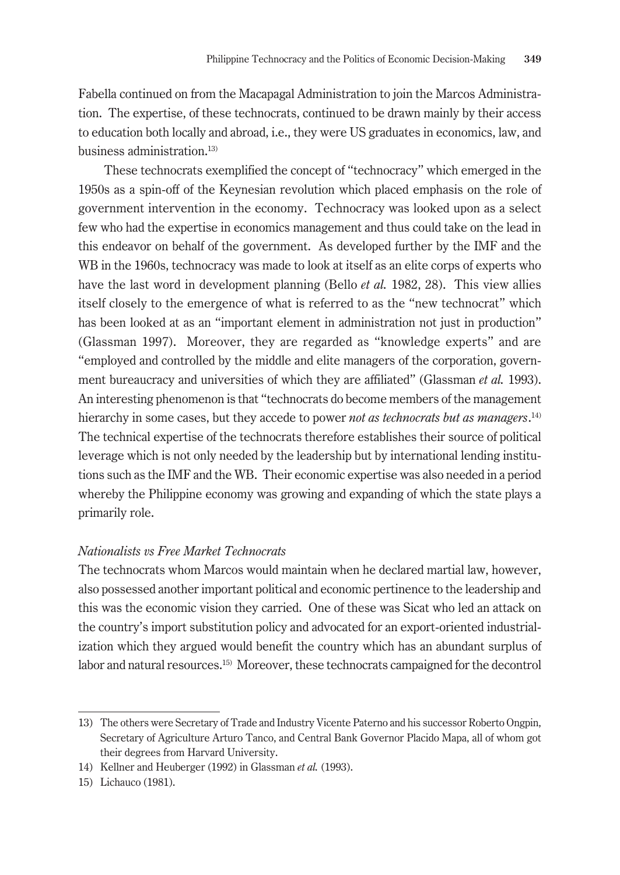Fabella continued on from the Macapagal Administration to join the Marcos Administration. The expertise, of these technocrats, continued to be drawn mainly by their access to education both locally and abroad, i.e., they were US graduates in economics, law, and business administration.13)

These technocrats exemplified the concept of "technocracy" which emerged in the 1950s as a spin-off of the Keynesian revolution which placed emphasis on the role of government intervention in the economy. Technocracy was looked upon as a select few who had the expertise in economics management and thus could take on the lead in this endeavor on behalf of the government. As developed further by the IMF and the WB in the 1960s, technocracy was made to look at itself as an elite corps of experts who have the last word in development planning (Bello *et al.* 1982, 28). This view allies itself closely to the emergence of what is referred to as the "new technocrat" which has been looked at as an "important element in administration not just in production" (Glassman 1997). Moreover, they are regarded as "knowledge experts" and are "employed and controlled by the middle and elite managers of the corporation, government bureaucracy and universities of which they are affiliated" (Glassman *et al.* 1993). An interesting phenomenon is that "technocrats do become members of the management hierarchy in some cases, but they accede to power *not as technocrats but as managers*. 14) The technical expertise of the technocrats therefore establishes their source of political leverage which is not only needed by the leadership but by international lending institutions such as the IMF and the WB. Their economic expertise was also needed in a period whereby the Philippine economy was growing and expanding of which the state plays a primarily role.

#### *Nationalists vs Free Market Technocrats*

The technocrats whom Marcos would maintain when he declared martial law, however, also possessed another important political and economic pertinence to the leadership and this was the economic vision they carried. One of these was Sicat who led an attack on the country's import substitution policy and advocated for an export-oriented industrialization which they argued would benefit the country which has an abundant surplus of labor and natural resources.15) Moreover, these technocrats campaigned for the decontrol

<sup>13)</sup> The others were Secretary of Trade and Industry Vicente Paterno and his successor Roberto Ongpin, Secretary of Agriculture Arturo Tanco, and Central Bank Governor Placido Mapa, all of whom got their degrees from Harvard University.

<sup>14)</sup> Kellner and Heuberger (1992) in Glassman *et al.* (1993).

<sup>15)</sup> Lichauco (1981).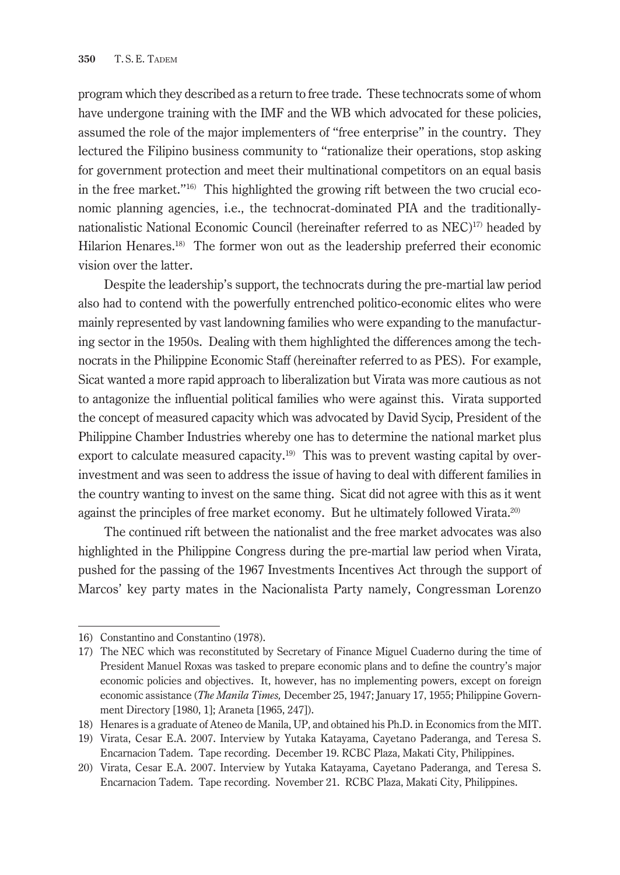program which they described as a return to free trade. These technocrats some of whom have undergone training with the IMF and the WB which advocated for these policies, assumed the role of the major implementers of "free enterprise" in the country. They lectured the Filipino business community to "rationalize their operations, stop asking for government protection and meet their multinational competitors on an equal basis in the free market."16) This highlighted the growing rift between the two crucial economic planning agencies, i.e., the technocrat-dominated PIA and the traditionallynationalistic National Economic Council (hereinafter referred to as NEC)<sup>17</sup> headed by Hilarion Henares.<sup>18)</sup> The former won out as the leadership preferred their economic vision over the latter.

Despite the leadership's support, the technocrats during the pre-martial law period also had to contend with the powerfully entrenched politico-economic elites who were mainly represented by vast landowning families who were expanding to the manufacturing sector in the 1950s. Dealing with them highlighted the differences among the technocrats in the Philippine Economic Staff (hereinafter referred to as PES). For example, Sicat wanted a more rapid approach to liberalization but Virata was more cautious as not to antagonize the influential political families who were against this. Virata supported the concept of measured capacity which was advocated by David Sycip, President of the Philippine Chamber Industries whereby one has to determine the national market plus export to calculate measured capacity.<sup>19)</sup> This was to prevent wasting capital by overinvestment and was seen to address the issue of having to deal with different families in the country wanting to invest on the same thing. Sicat did not agree with this as it went against the principles of free market economy. But he ultimately followed Virata.<sup>20)</sup>

The continued rift between the nationalist and the free market advocates was also highlighted in the Philippine Congress during the pre-martial law period when Virata, pushed for the passing of the 1967 Investments Incentives Act through the support of Marcos' key party mates in the Nacionalista Party namely, Congressman Lorenzo

<sup>16)</sup> Constantino and Constantino (1978).

<sup>17)</sup> The NEC which was reconstituted by Secretary of Finance Miguel Cuaderno during the time of President Manuel Roxas was tasked to prepare economic plans and to define the country's major economic policies and objectives. It, however, has no implementing powers, except on foreign economic assistance (*The Manila Times,* December 25, 1947; January 17, 1955; Philippine Government Directory [1980, 1]; Araneta [1965, 247]).

<sup>18)</sup> Henares is a graduate of Ateneo de Manila, UP, and obtained his Ph.D. in Economics from the MIT.

<sup>19)</sup> Virata, Cesar E.A. 2007. Interview by Yutaka Katayama, Cayetano Paderanga, and Teresa S. Encarnacion Tadem. Tape recording. December 19. RCBC Plaza, Makati City, Philippines.

<sup>20)</sup> Virata, Cesar E.A. 2007. Interview by Yutaka Katayama, Cayetano Paderanga, and Teresa S. Encarnacion Tadem. Tape recording. November 21. RCBC Plaza, Makati City, Philippines.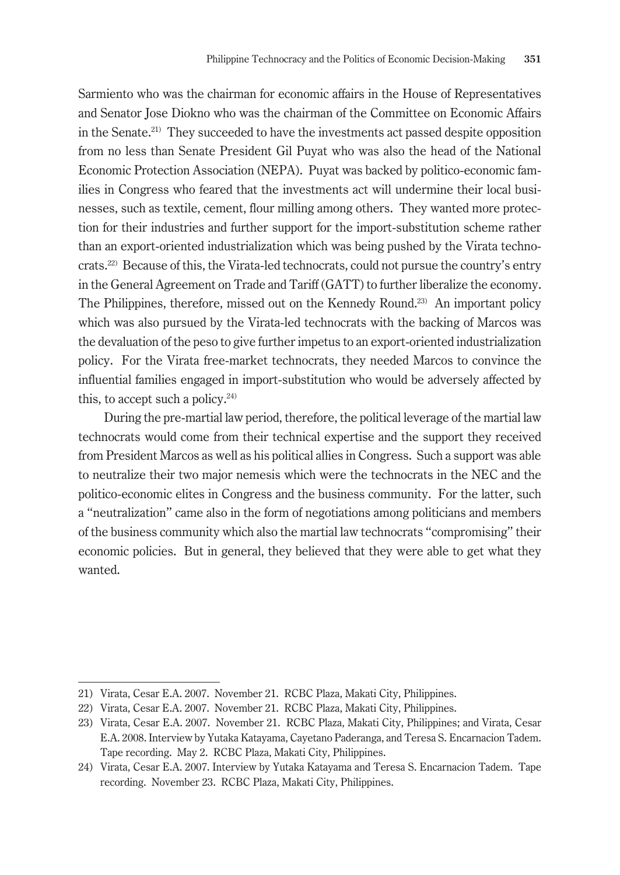Sarmiento who was the chairman for economic affairs in the House of Representatives and Senator Jose Diokno who was the chairman of the Committee on Economic Affairs in the Senate.21) They succeeded to have the investments act passed despite opposition from no less than Senate President Gil Puyat who was also the head of the National Economic Protection Association (NEPA). Puyat was backed by politico-economic families in Congress who feared that the investments act will undermine their local businesses, such as textile, cement, flour milling among others. They wanted more protection for their industries and further support for the import-substitution scheme rather than an export-oriented industrialization which was being pushed by the Virata technocrats.22) Because of this, the Virata-led technocrats, could not pursue the country's entry in the General Agreement on Trade and Tariff (GATT) to further liberalize the economy. The Philippines, therefore, missed out on the Kennedy Round.23) An important policy which was also pursued by the Virata-led technocrats with the backing of Marcos was the devaluation of the peso to give further impetus to an export-oriented industrialization policy. For the Virata free-market technocrats, they needed Marcos to convince the influential families engaged in import-substitution who would be adversely affected by this, to accept such a policy. $24$ )

During the pre-martial law period, therefore, the political leverage of the martial law technocrats would come from their technical expertise and the support they received from President Marcos as well as his political allies in Congress. Such a support was able to neutralize their two major nemesis which were the technocrats in the NEC and the politico-economic elites in Congress and the business community. For the latter, such a "neutralization" came also in the form of negotiations among politicians and members of the business community which also the martial law technocrats "compromising" their economic policies. But in general, they believed that they were able to get what they wanted.

<sup>21)</sup> Virata, Cesar E.A. 2007. November 21. RCBC Plaza, Makati City, Philippines.

<sup>22)</sup> Virata, Cesar E.A. 2007. November 21. RCBC Plaza, Makati City, Philippines.

<sup>23)</sup> Virata, Cesar E.A. 2007. November 21. RCBC Plaza, Makati City, Philippines; and Virata, Cesar E.A. 2008. Interview by Yutaka Katayama, Cayetano Paderanga, and Teresa S. Encarnacion Tadem. Tape recording. May 2. RCBC Plaza, Makati City, Philippines.

<sup>24)</sup> Virata, Cesar E.A. 2007. Interview by Yutaka Katayama and Teresa S. Encarnacion Tadem. Tape recording. November 23. RCBC Plaza, Makati City, Philippines.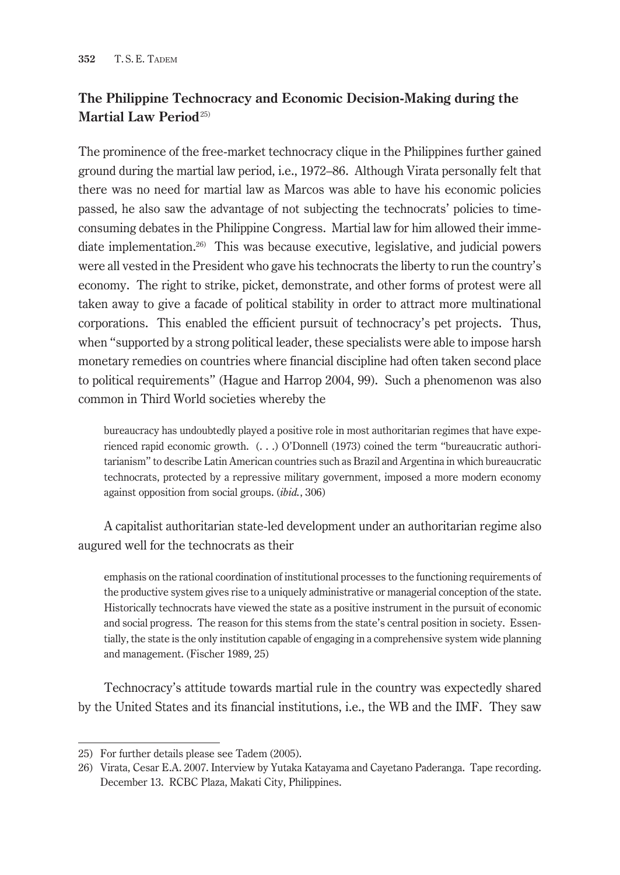# **The Philippine Technocracy and Economic Decision-Making during the Martial Law Period**25)

The prominence of the free-market technocracy clique in the Philippines further gained ground during the martial law period, i.e., 1972–86. Although Virata personally felt that there was no need for martial law as Marcos was able to have his economic policies passed, he also saw the advantage of not subjecting the technocrats' policies to timeconsuming debates in the Philippine Congress. Martial law for him allowed their immediate implementation.26) This was because executive, legislative, and judicial powers were all vested in the President who gave his technocrats the liberty to run the country's economy. The right to strike, picket, demonstrate, and other forms of protest were all taken away to give a facade of political stability in order to attract more multinational corporations. This enabled the efficient pursuit of technocracy's pet projects. Thus, when "supported by a strong political leader, these specialists were able to impose harsh monetary remedies on countries where financial discipline had often taken second place to political requirements" (Hague and Harrop 2004, 99). Such a phenomenon was also common in Third World societies whereby the

bureaucracy has undoubtedly played a positive role in most authoritarian regimes that have experienced rapid economic growth. (. . .) O'Donnell (1973) coined the term "bureaucratic authoritarianism" to describe Latin American countries such as Brazil and Argentina in which bureaucratic technocrats, protected by a repressive military government, imposed a more modern economy against opposition from social groups. (*ibid.*, 306)

A capitalist authoritarian state-led development under an authoritarian regime also augured well for the technocrats as their

emphasis on the rational coordination of institutional processes to the functioning requirements of the productive system gives rise to a uniquely administrative or managerial conception of the state. Historically technocrats have viewed the state as a positive instrument in the pursuit of economic and social progress. The reason for this stems from the state's central position in society. Essentially, the state is the only institution capable of engaging in a comprehensive system wide planning and management. (Fischer 1989, 25)

Technocracy's attitude towards martial rule in the country was expectedly shared by the United States and its financial institutions, i.e., the WB and the IMF. They saw

<sup>25)</sup> For further details please see Tadem (2005).

<sup>26)</sup> Virata, Cesar E.A. 2007. Interview by Yutaka Katayama and Cayetano Paderanga. Tape recording. December 13. RCBC Plaza, Makati City, Philippines.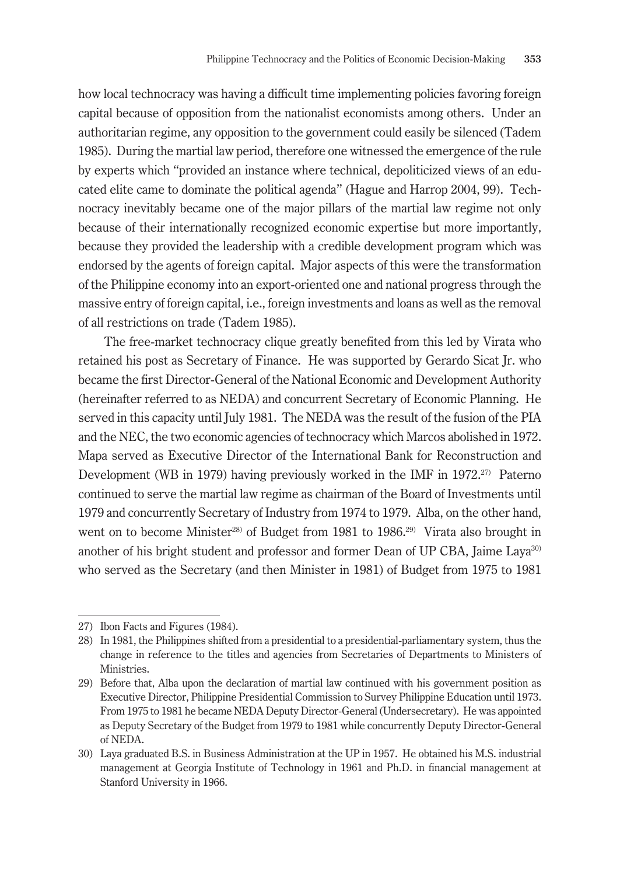how local technocracy was having a difficult time implementing policies favoring foreign capital because of opposition from the nationalist economists among others. Under an authoritarian regime, any opposition to the government could easily be silenced (Tadem 1985). During the martial law period, therefore one witnessed the emergence of the rule by experts which "provided an instance where technical, depoliticized views of an educated elite came to dominate the political agenda" (Hague and Harrop 2004, 99). Technocracy inevitably became one of the major pillars of the martial law regime not only because of their internationally recognized economic expertise but more importantly, because they provided the leadership with a credible development program which was endorsed by the agents of foreign capital. Major aspects of this were the transformation of the Philippine economy into an export-oriented one and national progress through the massive entry of foreign capital, i.e., foreign investments and loans as well as the removal of all restrictions on trade (Tadem 1985).

The free-market technocracy clique greatly benefited from this led by Virata who retained his post as Secretary of Finance. He was supported by Gerardo Sicat Jr. who became the first Director-General of the National Economic and Development Authority (hereinafter referred to as NEDA) and concurrent Secretary of Economic Planning. He served in this capacity until July 1981. The NEDA was the result of the fusion of the PIA and the NEC, the two economic agencies of technocracy which Marcos abolished in 1972. Mapa served as Executive Director of the International Bank for Reconstruction and Development (WB in 1979) having previously worked in the IMF in 1972.<sup>27</sup> Paterno continued to serve the martial law regime as chairman of the Board of Investments until 1979 and concurrently Secretary of Industry from 1974 to 1979. Alba, on the other hand, went on to become Minister<sup>28)</sup> of Budget from 1981 to 1986.<sup>29)</sup> Virata also brought in another of his bright student and professor and former Dean of UP CBA, Jaime Laya<sup>30)</sup> who served as the Secretary (and then Minister in 1981) of Budget from 1975 to 1981

<sup>27)</sup> Ibon Facts and Figures (1984).

<sup>28)</sup> In 1981, the Philippines shifted from a presidential to a presidential-parliamentary system, thus the change in reference to the titles and agencies from Secretaries of Departments to Ministers of Ministries.

<sup>29)</sup> Before that, Alba upon the declaration of martial law continued with his government position as Executive Director, Philippine Presidential Commission to Survey Philippine Education until 1973. From 1975 to 1981 he became NEDA Deputy Director-General (Undersecretary). He was appointed as Deputy Secretary of the Budget from 1979 to 1981 while concurrently Deputy Director-General of NEDA.

<sup>30)</sup> Laya graduated B.S. in Business Administration at the UP in 1957. He obtained his M.S. industrial management at Georgia Institute of Technology in 1961 and Ph.D. in financial management at Stanford University in 1966.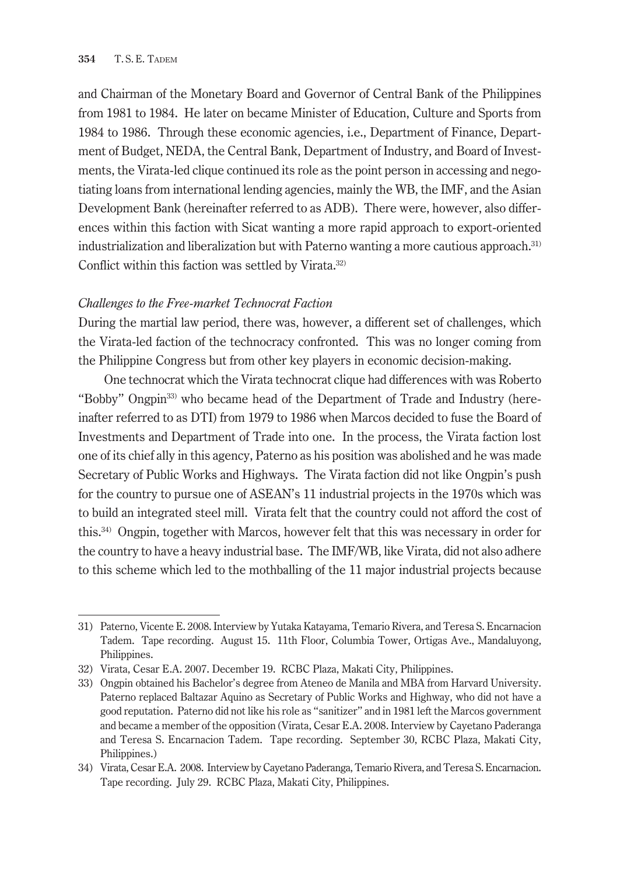and Chairman of the Monetary Board and Governor of Central Bank of the Philippines from 1981 to 1984. He later on became Minister of Education, Culture and Sports from 1984 to 1986. Through these economic agencies, i.e., Department of Finance, Department of Budget, NEDA, the Central Bank, Department of Industry, and Board of Investments, the Virata-led clique continued its role as the point person in accessing and negotiating loans from international lending agencies, mainly the WB, the IMF, and the Asian Development Bank (hereinafter referred to as ADB). There were, however, also differences within this faction with Sicat wanting a more rapid approach to export-oriented industrialization and liberalization but with Paterno wanting a more cautious approach.31) Conflict within this faction was settled by Virata.<sup>32)</sup>

#### *Challenges to the Free-market Technocrat Faction*

During the martial law period, there was, however, a different set of challenges, which the Virata-led faction of the technocracy confronted. This was no longer coming from the Philippine Congress but from other key players in economic decision-making.

One technocrat which the Virata technocrat clique had differences with was Roberto "Bobby" Ongpin33) who became head of the Department of Trade and Industry (hereinafter referred to as DTI) from 1979 to 1986 when Marcos decided to fuse the Board of Investments and Department of Trade into one. In the process, the Virata faction lost one of its chief ally in this agency, Paterno as his position was abolished and he was made Secretary of Public Works and Highways. The Virata faction did not like Ongpin's push for the country to pursue one of ASEAN's 11 industrial projects in the 1970s which was to build an integrated steel mill. Virata felt that the country could not afford the cost of this.34) Ongpin, together with Marcos, however felt that this was necessary in order for the country to have a heavy industrial base. The IMF/WB, like Virata, did not also adhere to this scheme which led to the mothballing of the 11 major industrial projects because

<sup>31)</sup> Paterno, Vicente E. 2008. Interview by Yutaka Katayama, Temario Rivera, and Teresa S. Encarnacion Tadem. Tape recording. August 15. 11th Floor, Columbia Tower, Ortigas Ave., Mandaluyong, Philippines.

<sup>32)</sup> Virata, Cesar E.A. 2007. December 19. RCBC Plaza, Makati City, Philippines.

<sup>33)</sup> Ongpin obtained his Bachelor's degree from Ateneo de Manila and MBA from Harvard University. Paterno replaced Baltazar Aquino as Secretary of Public Works and Highway, who did not have a good reputation. Paterno did not like his role as "sanitizer" and in 1981 left the Marcos government and became a member of the opposition (Virata, Cesar E.A. 2008. Interview by Cayetano Paderanga and Teresa S. Encarnacion Tadem. Tape recording. September 30, RCBC Plaza, Makati City, Philippines.)

<sup>34)</sup> Virata, Cesar E.A. 2008. Interview by Cayetano Paderanga, Temario Rivera, and Teresa S. Encarnacion. Tape recording. July 29. RCBC Plaza, Makati City, Philippines.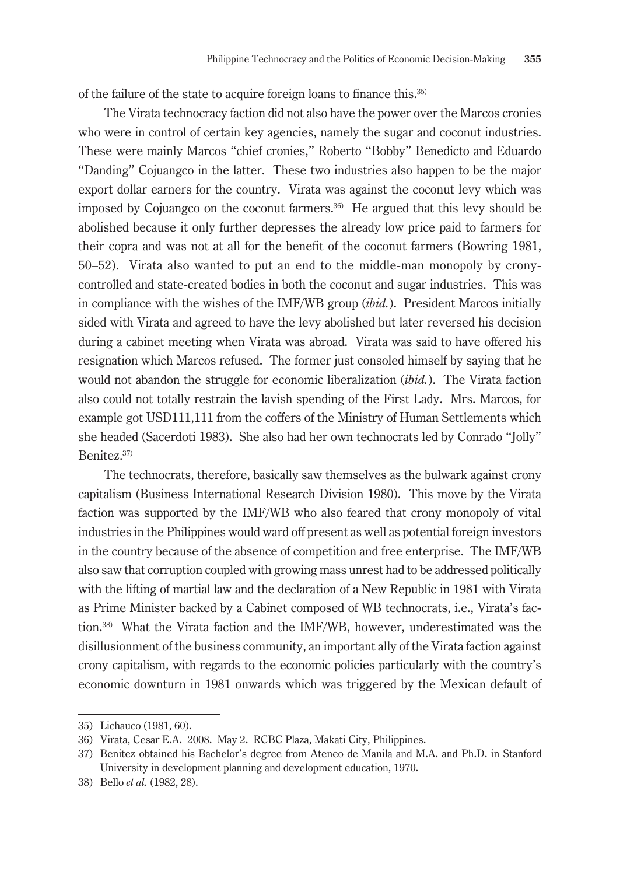of the failure of the state to acquire foreign loans to finance this.35)

The Virata technocracy faction did not also have the power over the Marcos cronies who were in control of certain key agencies, namely the sugar and coconut industries. These were mainly Marcos "chief cronies," Roberto "Bobby" Benedicto and Eduardo "Danding" Cojuangco in the latter. These two industries also happen to be the major export dollar earners for the country. Virata was against the coconut levy which was imposed by Cojuangco on the coconut farmers.36) He argued that this levy should be abolished because it only further depresses the already low price paid to farmers for their copra and was not at all for the benefit of the coconut farmers (Bowring 1981, 50–52). Virata also wanted to put an end to the middle-man monopoly by cronycontrolled and state-created bodies in both the coconut and sugar industries. This was in compliance with the wishes of the IMF/WB group (*ibid.*). President Marcos initially sided with Virata and agreed to have the levy abolished but later reversed his decision during a cabinet meeting when Virata was abroad. Virata was said to have offered his resignation which Marcos refused. The former just consoled himself by saying that he would not abandon the struggle for economic liberalization (*ibid.*). The Virata faction also could not totally restrain the lavish spending of the First Lady. Mrs. Marcos, for example got USD111,111 from the coffers of the Ministry of Human Settlements which she headed (Sacerdoti 1983). She also had her own technocrats led by Conrado "Jolly" Benitez.37)

The technocrats, therefore, basically saw themselves as the bulwark against crony capitalism (Business International Research Division 1980). This move by the Virata faction was supported by the IMF/WB who also feared that crony monopoly of vital industries in the Philippines would ward off present as well as potential foreign investors in the country because of the absence of competition and free enterprise. The IMF/WB also saw that corruption coupled with growing mass unrest had to be addressed politically with the lifting of martial law and the declaration of a New Republic in 1981 with Virata as Prime Minister backed by a Cabinet composed of WB technocrats, i.e., Virata's faction.38) What the Virata faction and the IMF/WB, however, underestimated was the disillusionment of the business community, an important ally of the Virata faction against crony capitalism, with regards to the economic policies particularly with the country's economic downturn in 1981 onwards which was triggered by the Mexican default of

<sup>35)</sup> Lichauco (1981, 60).

<sup>36)</sup> Virata, Cesar E.A. 2008. May 2. RCBC Plaza, Makati City, Philippines.

<sup>37)</sup> Benitez obtained his Bachelor's degree from Ateneo de Manila and M.A. and Ph.D. in Stanford University in development planning and development education, 1970.

<sup>38)</sup> Bello *et al.* (1982, 28).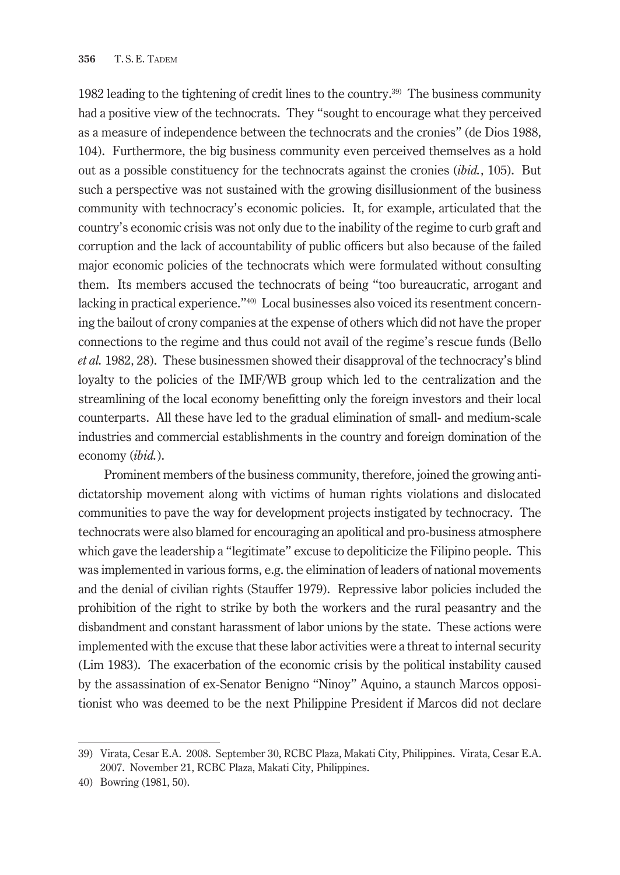1982 leading to the tightening of credit lines to the country.39) The business community had a positive view of the technocrats. They "sought to encourage what they perceived as a measure of independence between the technocrats and the cronies" (de Dios 1988, 104). Furthermore, the big business community even perceived themselves as a hold out as a possible constituency for the technocrats against the cronies (*ibid.*, 105). But such a perspective was not sustained with the growing disillusionment of the business community with technocracy's economic policies. It, for example, articulated that the country's economic crisis was not only due to the inability of the regime to curb graft and corruption and the lack of accountability of public officers but also because of the failed major economic policies of the technocrats which were formulated without consulting them. Its members accused the technocrats of being "too bureaucratic, arrogant and lacking in practical experience."40) Local businesses also voiced its resentment concerning the bailout of crony companies at the expense of others which did not have the proper connections to the regime and thus could not avail of the regime's rescue funds (Bello *et al.* 1982, 28). These businessmen showed their disapproval of the technocracy's blind loyalty to the policies of the IMF/WB group which led to the centralization and the streamlining of the local economy benefitting only the foreign investors and their local counterparts. All these have led to the gradual elimination of small- and medium-scale industries and commercial establishments in the country and foreign domination of the economy (*ibid.*).

Prominent members of the business community, therefore, joined the growing antidictatorship movement along with victims of human rights violations and dislocated communities to pave the way for development projects instigated by technocracy. The technocrats were also blamed for encouraging an apolitical and pro-business atmosphere which gave the leadership a "legitimate" excuse to depoliticize the Filipino people. This was implemented in various forms, e.g. the elimination of leaders of national movements and the denial of civilian rights (Stauffer 1979). Repressive labor policies included the prohibition of the right to strike by both the workers and the rural peasantry and the disbandment and constant harassment of labor unions by the state. These actions were implemented with the excuse that these labor activities were a threat to internal security (Lim 1983). The exacerbation of the economic crisis by the political instability caused by the assassination of ex-Senator Benigno "Ninoy" Aquino, a staunch Marcos oppositionist who was deemed to be the next Philippine President if Marcos did not declare

<sup>39)</sup> Virata, Cesar E.A. 2008. September 30, RCBC Plaza, Makati City, Philippines. Virata, Cesar E.A. 2007. November 21, RCBC Plaza, Makati City, Philippines.

<sup>40)</sup> Bowring (1981, 50).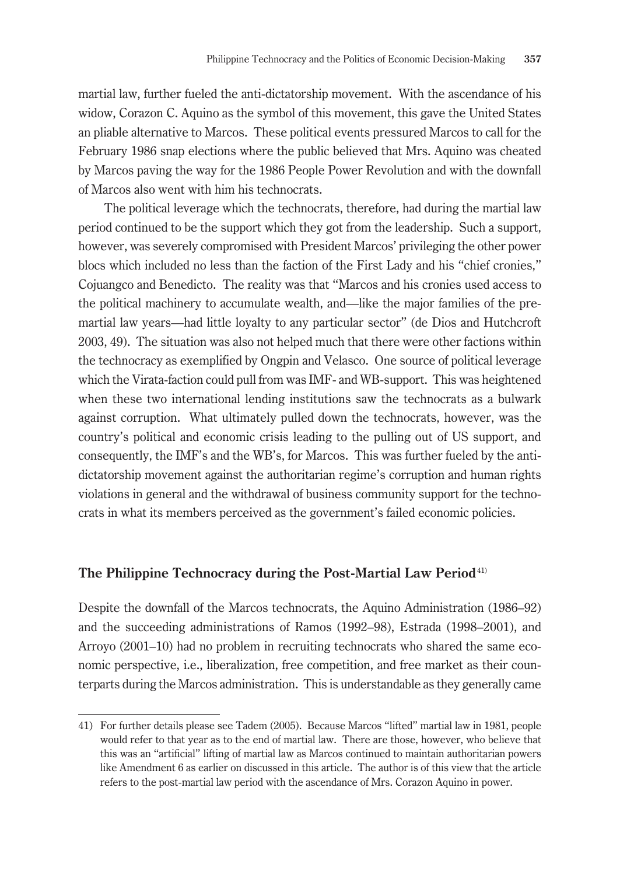martial law, further fueled the anti-dictatorship movement. With the ascendance of his widow, Corazon C. Aquino as the symbol of this movement, this gave the United States an pliable alternative to Marcos. These political events pressured Marcos to call for the February 1986 snap elections where the public believed that Mrs. Aquino was cheated by Marcos paving the way for the 1986 People Power Revolution and with the downfall of Marcos also went with him his technocrats.

The political leverage which the technocrats, therefore, had during the martial law period continued to be the support which they got from the leadership. Such a support, however, was severely compromised with President Marcos' privileging the other power blocs which included no less than the faction of the First Lady and his "chief cronies," Cojuangco and Benedicto. The reality was that "Marcos and his cronies used access to the political machinery to accumulate wealth, and—like the major families of the premartial law years—had little loyalty to any particular sector" (de Dios and Hutchcroft 2003, 49). The situation was also not helped much that there were other factions within the technocracy as exemplified by Ongpin and Velasco. One source of political leverage which the Virata-faction could pull from was IMF- and WB-support. This was heightened when these two international lending institutions saw the technocrats as a bulwark against corruption. What ultimately pulled down the technocrats, however, was the country's political and economic crisis leading to the pulling out of US support, and consequently, the IMF's and the WB's, for Marcos. This was further fueled by the antidictatorship movement against the authoritarian regime's corruption and human rights violations in general and the withdrawal of business community support for the technocrats in what its members perceived as the government's failed economic policies.

#### **The Philippine Technocracy during the Post-Martial Law Period**41)

Despite the downfall of the Marcos technocrats, the Aquino Administration (1986–92) and the succeeding administrations of Ramos (1992–98), Estrada (1998–2001), and Arroyo (2001–10) had no problem in recruiting technocrats who shared the same economic perspective, i.e., liberalization, free competition, and free market as their counterparts during the Marcos administration. This is understandable as they generally came

<sup>41)</sup> For further details please see Tadem (2005). Because Marcos "lifted" martial law in 1981, people would refer to that year as to the end of martial law. There are those, however, who believe that this was an "artificial" lifting of martial law as Marcos continued to maintain authoritarian powers like Amendment 6 as earlier on discussed in this article. The author is of this view that the article refers to the post-martial law period with the ascendance of Mrs. Corazon Aquino in power.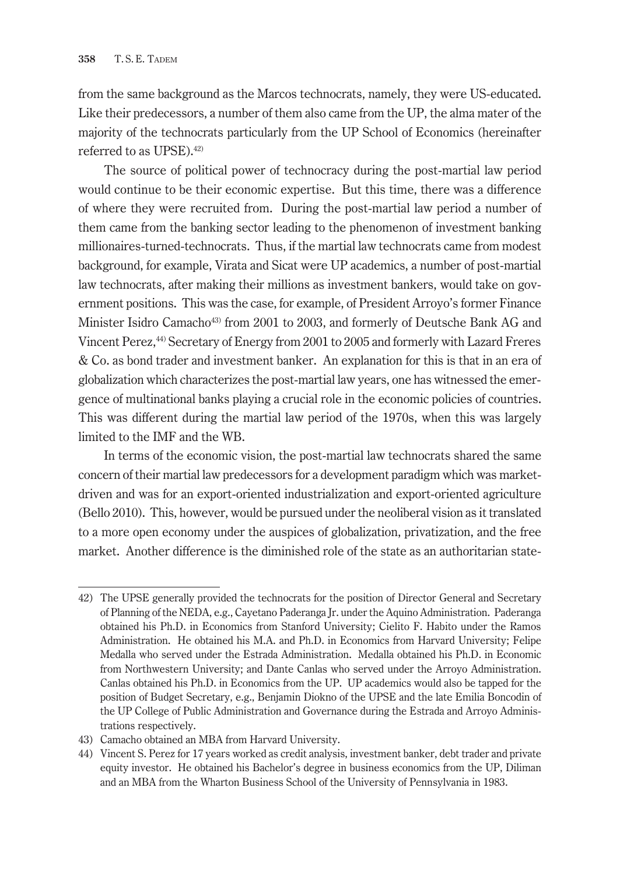from the same background as the Marcos technocrats, namely, they were US-educated. Like their predecessors, a number of them also came from the UP, the alma mater of the majority of the technocrats particularly from the UP School of Economics (hereinafter referred to as UPSE).42)

The source of political power of technocracy during the post-martial law period would continue to be their economic expertise. But this time, there was a difference of where they were recruited from. During the post-martial law period a number of them came from the banking sector leading to the phenomenon of investment banking millionaires-turned-technocrats. Thus, if the martial law technocrats came from modest background, for example, Virata and Sicat were UP academics, a number of post-martial law technocrats, after making their millions as investment bankers, would take on government positions. This was the case, for example, of President Arroyo's former Finance Minister Isidro Camacho43) from 2001 to 2003, and formerly of Deutsche Bank AG and Vincent Perez,44) Secretary of Energy from 2001 to 2005 and formerly with Lazard Freres & Co. as bond trader and investment banker. An explanation for this is that in an era of globalization which characterizes the post-martial law years, one has witnessed the emergence of multinational banks playing a crucial role in the economic policies of countries. This was different during the martial law period of the 1970s, when this was largely limited to the IMF and the WB.

In terms of the economic vision, the post-martial law technocrats shared the same concern of their martial law predecessors for a development paradigm which was marketdriven and was for an export-oriented industrialization and export-oriented agriculture (Bello 2010). This, however, would be pursued under the neoliberal vision as it translated to a more open economy under the auspices of globalization, privatization, and the free market. Another difference is the diminished role of the state as an authoritarian state-

<sup>42)</sup> The UPSE generally provided the technocrats for the position of Director General and Secretary of Planning of the NEDA, e.g., Cayetano Paderanga Jr. under the Aquino Administration. Paderanga obtained his Ph.D. in Economics from Stanford University; Cielito F. Habito under the Ramos Administration. He obtained his M.A. and Ph.D. in Economics from Harvard University; Felipe Medalla who served under the Estrada Administration. Medalla obtained his Ph.D. in Economic from Northwestern University; and Dante Canlas who served under the Arroyo Administration. Canlas obtained his Ph.D. in Economics from the UP. UP academics would also be tapped for the position of Budget Secretary, e.g., Benjamin Diokno of the UPSE and the late Emilia Boncodin of the UP College of Public Administration and Governance during the Estrada and Arroyo Administrations respectively.

<sup>43)</sup> Camacho obtained an MBA from Harvard University.

<sup>44)</sup> Vincent S. Perez for 17 years worked as credit analysis, investment banker, debt trader and private equity investor. He obtained his Bachelor's degree in business economics from the UP, Diliman and an MBA from the Wharton Business School of the University of Pennsylvania in 1983.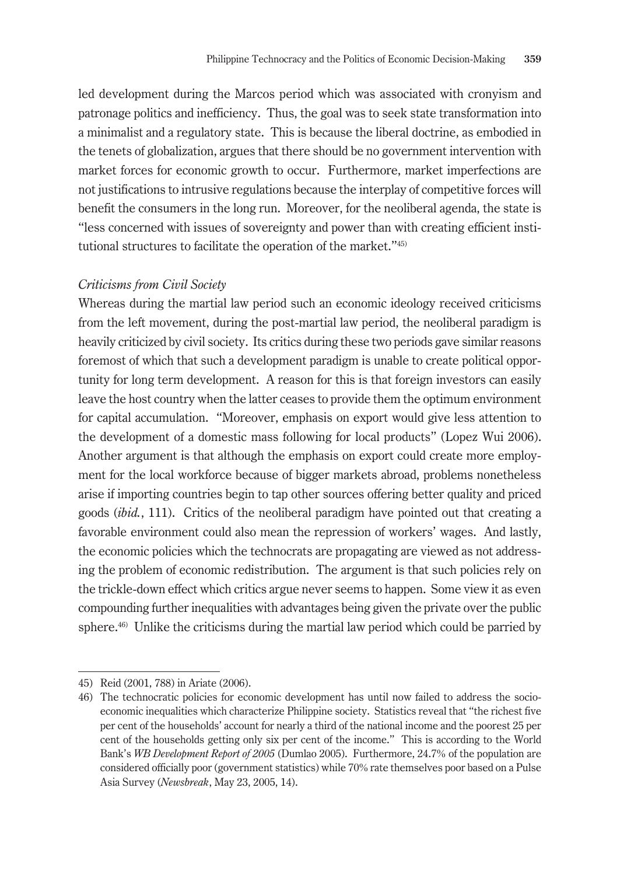led development during the Marcos period which was associated with cronyism and patronage politics and inefficiency. Thus, the goal was to seek state transformation into a minimalist and a regulatory state. This is because the liberal doctrine, as embodied in the tenets of globalization, argues that there should be no government intervention with market forces for economic growth to occur. Furthermore, market imperfections are not justifications to intrusive regulations because the interplay of competitive forces will benefit the consumers in the long run. Moreover, for the neoliberal agenda, the state is "less concerned with issues of sovereignty and power than with creating efficient institutional structures to facilitate the operation of the market."45)

#### *Criticisms from Civil Society*

Whereas during the martial law period such an economic ideology received criticisms from the left movement, during the post-martial law period, the neoliberal paradigm is heavily criticized by civil society. Its critics during these two periods gave similar reasons foremost of which that such a development paradigm is unable to create political opportunity for long term development. A reason for this is that foreign investors can easily leave the host country when the latter ceases to provide them the optimum environment for capital accumulation. "Moreover, emphasis on export would give less attention to the development of a domestic mass following for local products" (Lopez Wui 2006). Another argument is that although the emphasis on export could create more employment for the local workforce because of bigger markets abroad, problems nonetheless arise if importing countries begin to tap other sources offering better quality and priced goods (*ibid.*, 111). Critics of the neoliberal paradigm have pointed out that creating a favorable environment could also mean the repression of workers' wages. And lastly, the economic policies which the technocrats are propagating are viewed as not addressing the problem of economic redistribution. The argument is that such policies rely on the trickle-down effect which critics argue never seems to happen. Some view it as even compounding further inequalities with advantages being given the private over the public sphere.<sup>46)</sup> Unlike the criticisms during the martial law period which could be parried by

<sup>45)</sup> Reid (2001, 788) in Ariate (2006).

<sup>46)</sup> The technocratic policies for economic development has until now failed to address the socioeconomic inequalities which characterize Philippine society. Statistics reveal that "the richest five per cent of the households' account for nearly a third of the national income and the poorest 25 per cent of the households getting only six per cent of the income." This is according to the World Bank's *WB Development Report of 2005* (Dumlao 2005). Furthermore, 24.7% of the population are considered officially poor (government statistics) while 70% rate themselves poor based on a Pulse Asia Survey (*Newsbreak*, May 23, 2005, 14).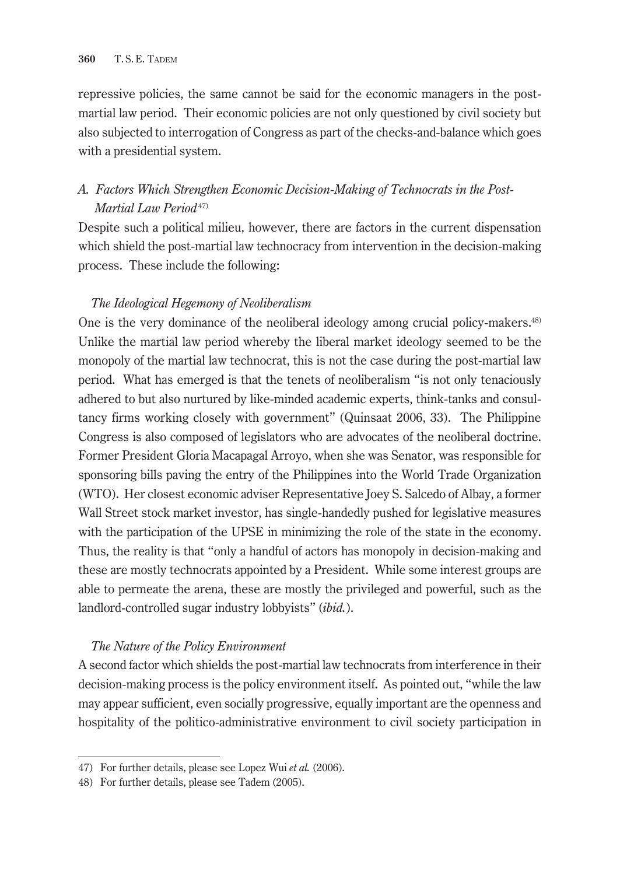repressive policies, the same cannot be said for the economic managers in the postmartial law period. Their economic policies are not only questioned by civil society but also subjected to interrogation of Congress as part of the checks-and-balance which goes with a presidential system.

# *A. Factors Which Strengthen Economic Decision-Making of Technocrats in the Post-Martial Law Period*<sup>47)</sup>

Despite such a political milieu, however, there are factors in the current dispensation which shield the post-martial law technocracy from intervention in the decision-making process. These include the following:

## *The Ideological Hegemony of Neoliberalism*

One is the very dominance of the neoliberal ideology among crucial policy-makers.48) Unlike the martial law period whereby the liberal market ideology seemed to be the monopoly of the martial law technocrat, this is not the case during the post-martial law period. What has emerged is that the tenets of neoliberalism "is not only tenaciously adhered to but also nurtured by like-minded academic experts, think-tanks and consultancy firms working closely with government" (Quinsaat 2006, 33). The Philippine Congress is also composed of legislators who are advocates of the neoliberal doctrine. Former President Gloria Macapagal Arroyo, when she was Senator, was responsible for sponsoring bills paving the entry of the Philippines into the World Trade Organization (WTO). Her closest economic adviser Representative Joey S. Salcedo of Albay, a former Wall Street stock market investor, has single-handedly pushed for legislative measures with the participation of the UPSE in minimizing the role of the state in the economy. Thus, the reality is that "only a handful of actors has monopoly in decision-making and these are mostly technocrats appointed by a President. While some interest groups are able to permeate the arena, these are mostly the privileged and powerful, such as the landlord-controlled sugar industry lobbyists" (*ibid.*).

#### *The Nature of the Policy Environment*

A second factor which shields the post-martial law technocrats from interference in their decision-making process is the policy environment itself. As pointed out, "while the law may appear sufficient, even socially progressive, equally important are the openness and hospitality of the politico-administrative environment to civil society participation in

<sup>47)</sup> For further details, please see Lopez Wui *et al.* (2006).

<sup>48)</sup> For further details, please see Tadem (2005).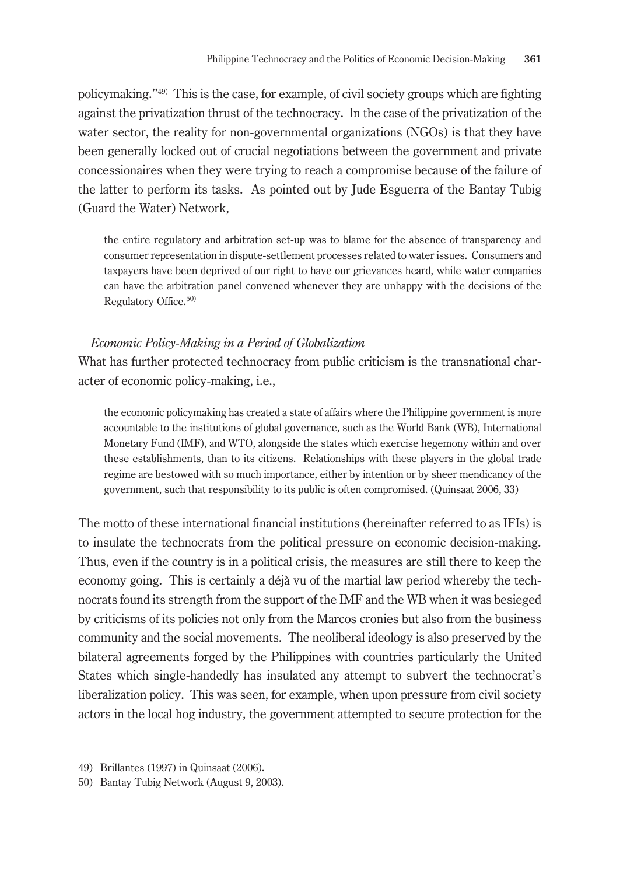policymaking."49) This is the case, for example, of civil society groups which are fighting against the privatization thrust of the technocracy. In the case of the privatization of the water sector, the reality for non-governmental organizations (NGOs) is that they have been generally locked out of crucial negotiations between the government and private concessionaires when they were trying to reach a compromise because of the failure of the latter to perform its tasks. As pointed out by Jude Esguerra of the Bantay Tubig (Guard the Water) Network,

the entire regulatory and arbitration set-up was to blame for the absence of transparency and consumer representation in dispute-settlement processes related to water issues. Consumers and taxpayers have been deprived of our right to have our grievances heard, while water companies can have the arbitration panel convened whenever they are unhappy with the decisions of the Regulatory Office.<sup>50)</sup>

#### *Economic Policy-Making in a Period of Globalization*

What has further protected technocracy from public criticism is the transnational character of economic policy-making, i.e.,

the economic policymaking has created a state of affairs where the Philippine government is more accountable to the institutions of global governance, such as the World Bank (WB), International Monetary Fund (IMF), and WTO, alongside the states which exercise hegemony within and over these establishments, than to its citizens. Relationships with these players in the global trade regime are bestowed with so much importance, either by intention or by sheer mendicancy of the government, such that responsibility to its public is often compromised. (Quinsaat 2006, 33)

The motto of these international financial institutions (hereinafter referred to as IFIs) is to insulate the technocrats from the political pressure on economic decision-making. Thus, even if the country is in a political crisis, the measures are still there to keep the economy going. This is certainly a déjà vu of the martial law period whereby the technocrats found its strength from the support of the IMF and the WB when it was besieged by criticisms of its policies not only from the Marcos cronies but also from the business community and the social movements. The neoliberal ideology is also preserved by the bilateral agreements forged by the Philippines with countries particularly the United States which single-handedly has insulated any attempt to subvert the technocrat's liberalization policy. This was seen, for example, when upon pressure from civil society actors in the local hog industry, the government attempted to secure protection for the

<sup>49)</sup> Brillantes (1997) in Quinsaat (2006).

<sup>50)</sup> Bantay Tubig Network (August 9, 2003).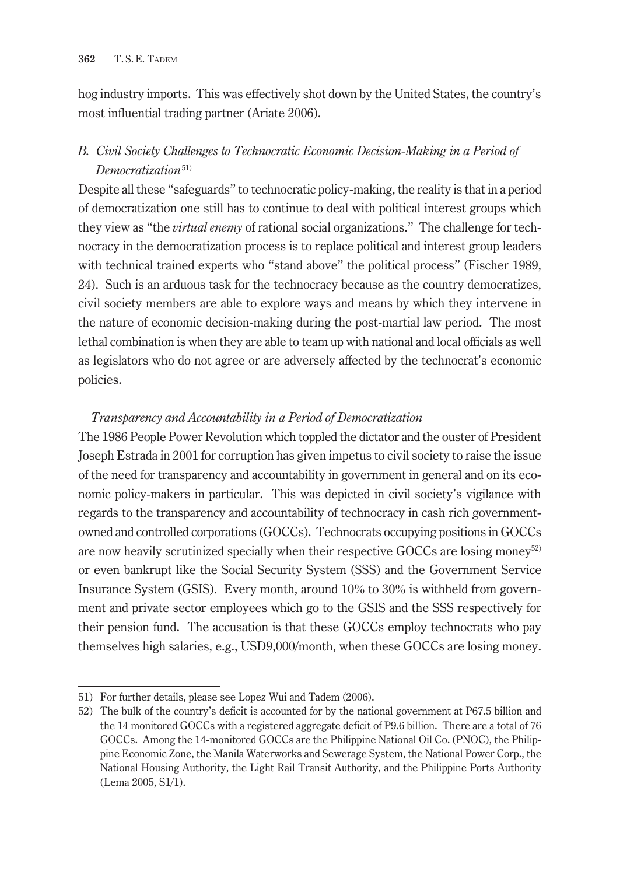hog industry imports. This was effectively shot down by the United States, the country's most influential trading partner (Ariate 2006).

# *B. Civil Society Challenges to Technocratic Economic Decision-Making in a Period of Democratization*51)

Despite all these "safeguards" to technocratic policy-making, the reality is that in a period of democratization one still has to continue to deal with political interest groups which they view as "the *virtual enemy* of rational social organizations." The challenge for technocracy in the democratization process is to replace political and interest group leaders with technical trained experts who "stand above" the political process" (Fischer 1989, 24). Such is an arduous task for the technocracy because as the country democratizes, civil society members are able to explore ways and means by which they intervene in the nature of economic decision-making during the post-martial law period. The most lethal combination is when they are able to team up with national and local officials as well as legislators who do not agree or are adversely affected by the technocrat's economic policies.

#### *Transparency and Accountability in a Period of Democratization*

The 1986 People Power Revolution which toppled the dictator and the ouster of President Joseph Estrada in 2001 for corruption has given impetus to civil society to raise the issue of the need for transparency and accountability in government in general and on its economic policy-makers in particular. This was depicted in civil society's vigilance with regards to the transparency and accountability of technocracy in cash rich governmentowned and controlled corporations (GOCCs). Technocrats occupying positions in GOCCs are now heavily scrutinized specially when their respective GOCCs are losing money<sup>52)</sup> or even bankrupt like the Social Security System (SSS) and the Government Service Insurance System (GSIS). Every month, around 10% to 30% is withheld from government and private sector employees which go to the GSIS and the SSS respectively for their pension fund. The accusation is that these GOCCs employ technocrats who pay themselves high salaries, e.g., USD9,000/month, when these GOCCs are losing money.

<sup>51)</sup> For further details, please see Lopez Wui and Tadem (2006).

<sup>52)</sup> The bulk of the country's deficit is accounted for by the national government at P67.5 billion and the 14 monitored GOCCs with a registered aggregate deficit of P9.6 billion. There are a total of 76 GOCCs. Among the 14-monitored GOCCs are the Philippine National Oil Co. (PNOC), the Philippine Economic Zone, the Manila Waterworks and Sewerage System, the National Power Corp., the National Housing Authority, the Light Rail Transit Authority, and the Philippine Ports Authority (Lema 2005, S1/1).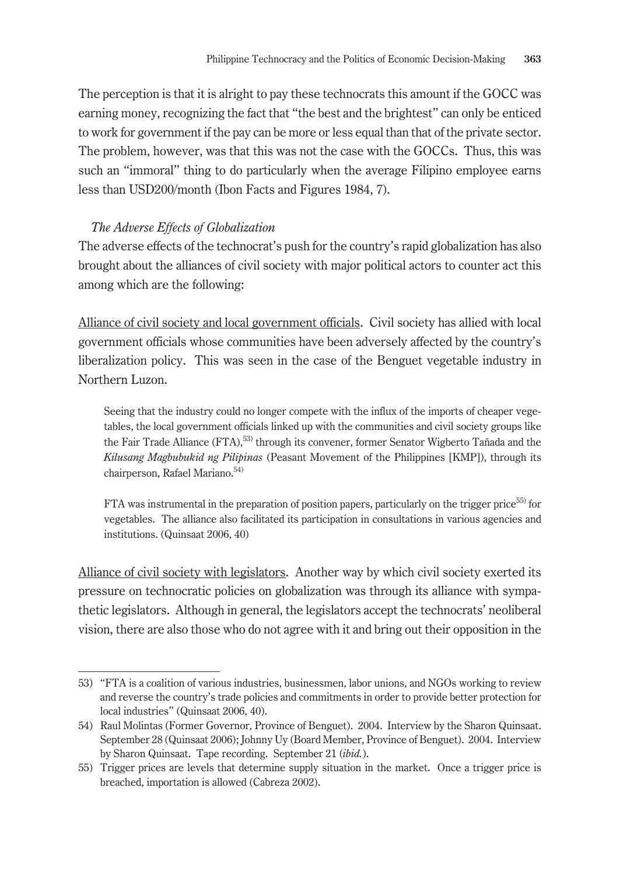The perception is that it is alright to pay these technocrats this amount if the GOCC was earning money, recognizing the fact that "the best and the brightest" can only be enticed to work for government if the pay can be more or less equal than that of the private sector. The problem, however, was that this was not the case with the GOCCs. Thus, this was such an "immoral" thing to do particularly when the average Filipino employee earns less than USD200/month (Ibon Facts and Figures 1984, 7).

#### *The Adverse Effects of Globalization*

The adverse effects of the technocrat's push for the country's rapid globalization has also brought about the alliances of civil society with major political actors to counter act this among which are the following:

Alliance of civil society and local government officials. Civil society has allied with local government officials whose communities have been adversely affected by the country's liberalization policy. This was seen in the case of the Benguet vegetable industry in Northern Luzon.

Seeing that the industry could no longer compete with the influx of the imports of cheaper vegetables, the local government officials linked up with the communities and civil society groups like the Fair Trade Alliance (FTA),<sup>53)</sup> through its convener, former Senator Wigberto Tañada and the *Kilusang Magbubukid ng Pilipinas* (Peasant Movement of the Philippines [KMP]), through its chairperson, Rafael Mariano.<sup>54)</sup>

FTA was instrumental in the preparation of position papers, particularly on the trigger price<sup>55)</sup> for vegetables. The alliance also facilitated its participation in consultations in various agencies and institutions. (Quinsaat 2006, 40)

Alliance of civil society with legislators. Another way by which civil society exerted its pressure on technocratic policies on globalization was through its alliance with sympathetic legislators. Although in general, the legislators accept the technocrats' neoliberal vision, there are also those who do not agree with it and bring out their opposition in the

<sup>53)</sup> "FTA is a coalition of various industries, businessmen, labor unions, and NGOs working to review and reverse the country's trade policies and commitments in order to provide better protection for local industries" (Quinsaat 2006, 40).

<sup>54)</sup> Raul Molintas (Former Governor, Province of Benguet). 2004. Interview by the Sharon Quinsaat. September 28 (Quinsaat 2006); Johnny Uy (Board Member, Province of Benguet). 2004. Interview by Sharon Quinsaat. Tape recording. September 21 (*ibid.*).

<sup>55)</sup> Trigger prices are levels that determine supply situation in the market. Once a trigger price is breached, importation is allowed (Cabreza 2002).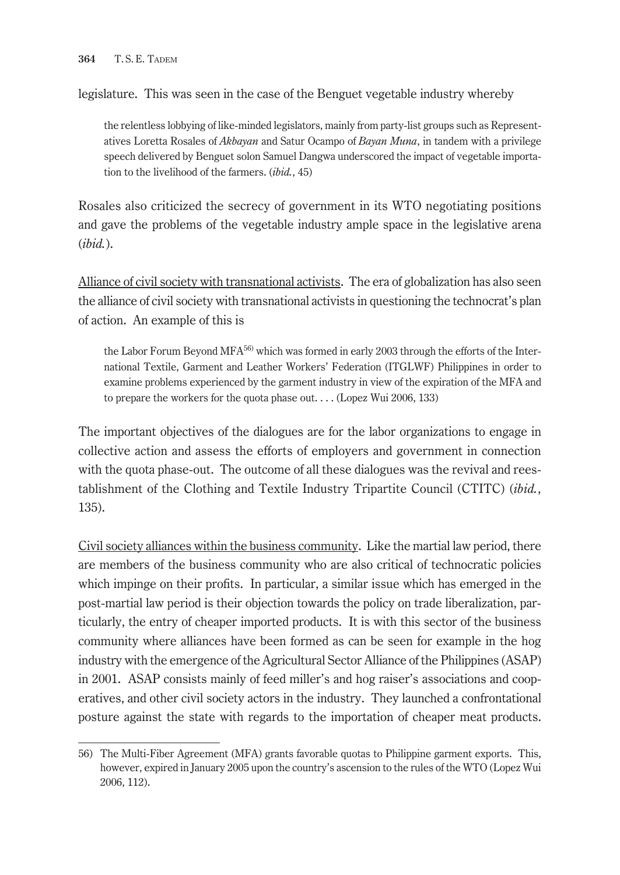legislature. This was seen in the case of the Benguet vegetable industry whereby

the relentless lobbying of like-minded legislators, mainly from party-list groups such as Representatives Loretta Rosales of *Akbayan* and Satur Ocampo of *Bayan Muna*, in tandem with a privilege speech delivered by Benguet solon Samuel Dangwa underscored the impact of vegetable importation to the livelihood of the farmers. (*ibid.*, 45)

Rosales also criticized the secrecy of government in its WTO negotiating positions and gave the problems of the vegetable industry ample space in the legislative arena (*ibid.*).

Alliance of civil society with transnational activists. The era of globalization has also seen the alliance of civil society with transnational activists in questioning the technocrat's plan of action. An example of this is

the Labor Forum Beyond MFA<sup>56)</sup> which was formed in early 2003 through the efforts of the International Textile, Garment and Leather Workers' Federation (ITGLWF) Philippines in order to examine problems experienced by the garment industry in view of the expiration of the MFA and to prepare the workers for the quota phase out. . . . (Lopez Wui 2006, 133)

The important objectives of the dialogues are for the labor organizations to engage in collective action and assess the efforts of employers and government in connection with the quota phase-out. The outcome of all these dialogues was the revival and reestablishment of the Clothing and Textile Industry Tripartite Council (CTITC) (*ibid.*, 135).

Civil society alliances within the business community. Like the martial law period, there are members of the business community who are also critical of technocratic policies which impinge on their profits. In particular, a similar issue which has emerged in the post-martial law period is their objection towards the policy on trade liberalization, particularly, the entry of cheaper imported products. It is with this sector of the business community where alliances have been formed as can be seen for example in the hog industry with the emergence of the Agricultural Sector Alliance of the Philippines (ASAP) in 2001. ASAP consists mainly of feed miller's and hog raiser's associations and cooperatives, and other civil society actors in the industry. They launched a confrontational posture against the state with regards to the importation of cheaper meat products.

<sup>56)</sup> The Multi-Fiber Agreement (MFA) grants favorable quotas to Philippine garment exports. This, however, expired in January 2005 upon the country's ascension to the rules of the WTO (Lopez Wui 2006, 112).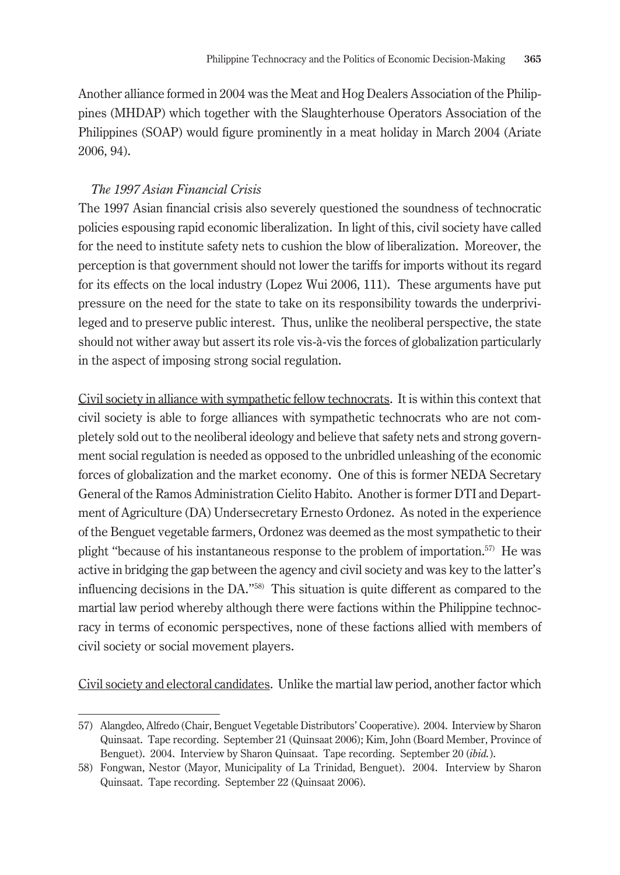Another alliance formed in 2004 was the Meat and Hog Dealers Association of the Philippines (MHDAP) which together with the Slaughterhouse Operators Association of the Philippines (SOAP) would figure prominently in a meat holiday in March 2004 (Ariate 2006, 94).

### *The 1997 Asian Financial Crisis*

The 1997 Asian financial crisis also severely questioned the soundness of technocratic policies espousing rapid economic liberalization. In light of this, civil society have called for the need to institute safety nets to cushion the blow of liberalization. Moreover, the perception is that government should not lower the tariffs for imports without its regard for its effects on the local industry (Lopez Wui 2006, 111). These arguments have put pressure on the need for the state to take on its responsibility towards the underprivileged and to preserve public interest. Thus, unlike the neoliberal perspective, the state should not wither away but assert its role vis-à-vis the forces of globalization particularly in the aspect of imposing strong social regulation.

Civil society in alliance with sympathetic fellow technocrats. It is within this context that civil society is able to forge alliances with sympathetic technocrats who are not completely sold out to the neoliberal ideology and believe that safety nets and strong government social regulation is needed as opposed to the unbridled unleashing of the economic forces of globalization and the market economy. One of this is former NEDA Secretary General of the Ramos Administration Cielito Habito. Another is former DTI and Department of Agriculture (DA) Undersecretary Ernesto Ordonez. As noted in the experience of the Benguet vegetable farmers, Ordonez was deemed as the most sympathetic to their plight "because of his instantaneous response to the problem of importation.57) He was active in bridging the gap between the agency and civil society and was key to the latter's influencing decisions in the DA."58) This situation is quite different as compared to the martial law period whereby although there were factions within the Philippine technocracy in terms of economic perspectives, none of these factions allied with members of civil society or social movement players.

Civil society and electoral candidates. Unlike the martial law period, another factor which

<sup>57)</sup> Alangdeo, Alfredo (Chair, Benguet Vegetable Distributors' Cooperative). 2004. Interview by Sharon Quinsaat. Tape recording. September 21 (Quinsaat 2006); Kim, John (Board Member, Province of Benguet). 2004. Interview by Sharon Quinsaat. Tape recording. September 20 (*ibid.*).

<sup>58)</sup> Fongwan, Nestor (Mayor, Municipality of La Trinidad, Benguet). 2004. Interview by Sharon Quinsaat. Tape recording. September 22 (Quinsaat 2006).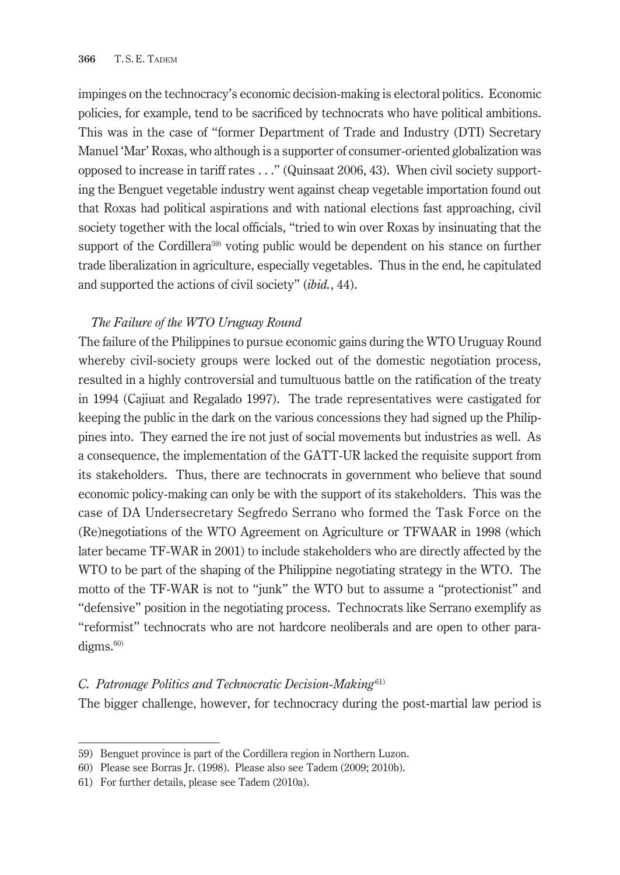impinges on the technocracy's economic decision-making is electoral politics. Economic policies, for example, tend to be sacrificed by technocrats who have political ambitions. This was in the case of "former Department of Trade and Industry (DTI) Secretary Manuel 'Mar' Roxas, who although is a supporter of consumer-oriented globalization was opposed to increase in tariff rates . . ." (Quinsaat 2006, 43). When civil society supporting the Benguet vegetable industry went against cheap vegetable importation found out that Roxas had political aspirations and with national elections fast approaching, civil society together with the local officials, "tried to win over Roxas by insinuating that the support of the Cordillera<sup>59</sup> voting public would be dependent on his stance on further trade liberalization in agriculture, especially vegetables. Thus in the end, he capitulated and supported the actions of civil society" (*ibid.*, 44).

## *The Failure of the WTO Uruguay Round*

The failure of the Philippines to pursue economic gains during the WTO Uruguay Round whereby civil-society groups were locked out of the domestic negotiation process, resulted in a highly controversial and tumultuous battle on the ratification of the treaty in 1994 (Cajiuat and Regalado 1997). The trade representatives were castigated for keeping the public in the dark on the various concessions they had signed up the Philippines into. They earned the ire not just of social movements but industries as well. As a consequence, the implementation of the GATT-UR lacked the requisite support from its stakeholders. Thus, there are technocrats in government who believe that sound economic policy-making can only be with the support of its stakeholders. This was the case of DA Undersecretary Segfredo Serrano who formed the Task Force on the (Re)negotiations of the WTO Agreement on Agriculture or TFWAAR in 1998 (which later became TF-WAR in 2001) to include stakeholders who are directly affected by the WTO to be part of the shaping of the Philippine negotiating strategy in the WTO. The motto of the TF-WAR is not to "junk" the WTO but to assume a "protectionist" and "defensive" position in the negotiating process. Technocrats like Serrano exemplify as "reformist" technocrats who are not hardcore neoliberals and are open to other paradigms.<sup>60)</sup>

#### *C. Patronage Politics and Technocratic Decision-Making*61)

The bigger challenge, however, for technocracy during the post-martial law period is

<sup>59)</sup> Benguet province is part of the Cordillera region in Northern Luzon.

<sup>60)</sup> Please see Borras Jr. (1998). Please also see Tadem (2009; 2010b).

<sup>61)</sup> For further details, please see Tadem (2010a).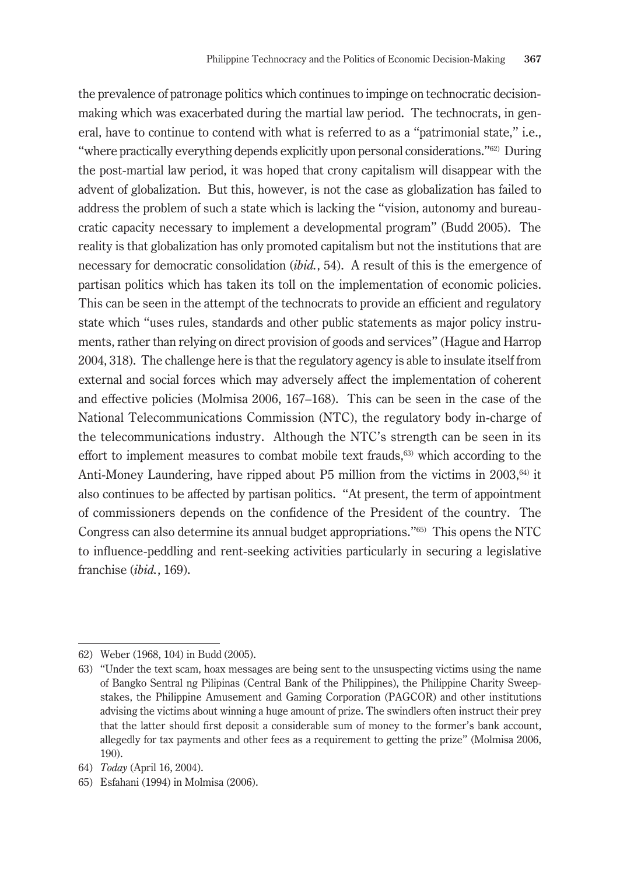the prevalence of patronage politics which continues to impinge on technocratic decisionmaking which was exacerbated during the martial law period. The technocrats, in general, have to continue to contend with what is referred to as a "patrimonial state," i.e., "where practically everything depends explicitly upon personal considerations."62) During the post-martial law period, it was hoped that crony capitalism will disappear with the advent of globalization. But this, however, is not the case as globalization has failed to address the problem of such a state which is lacking the "vision, autonomy and bureaucratic capacity necessary to implement a developmental program" (Budd 2005). The reality is that globalization has only promoted capitalism but not the institutions that are necessary for democratic consolidation (*ibid.*, 54). A result of this is the emergence of partisan politics which has taken its toll on the implementation of economic policies. This can be seen in the attempt of the technocrats to provide an efficient and regulatory state which "uses rules, standards and other public statements as major policy instruments, rather than relying on direct provision of goods and services" (Hague and Harrop 2004, 318). The challenge here is that the regulatory agency is able to insulate itself from external and social forces which may adversely affect the implementation of coherent and effective policies (Molmisa 2006, 167–168). This can be seen in the case of the National Telecommunications Commission (NTC), the regulatory body in-charge of the telecommunications industry. Although the NTC's strength can be seen in its effort to implement measures to combat mobile text frauds, $63$ ) which according to the Anti-Money Laundering, have ripped about P5 million from the victims in  $2003$ ,  $64$ ) it also continues to be affected by partisan politics. "At present, the term of appointment of commissioners depends on the confidence of the President of the country. The Congress can also determine its annual budget appropriations."65) This opens the NTC to influence-peddling and rent-seeking activities particularly in securing a legislative franchise (*ibid.*, 169).

<sup>62)</sup> Weber (1968, 104) in Budd (2005).

<sup>63)</sup> "Under the text scam, hoax messages are being sent to the unsuspecting victims using the name of Bangko Sentral ng Pilipinas (Central Bank of the Philippines), the Philippine Charity Sweepstakes, the Philippine Amusement and Gaming Corporation (PAGCOR) and other institutions advising the victims about winning a huge amount of prize. The swindlers often instruct their prey that the latter should first deposit a considerable sum of money to the former's bank account, allegedly for tax payments and other fees as a requirement to getting the prize" (Molmisa 2006, 190).

<sup>64)</sup> *Today* (April 16, 2004).

<sup>65)</sup> Esfahani (1994) in Molmisa (2006).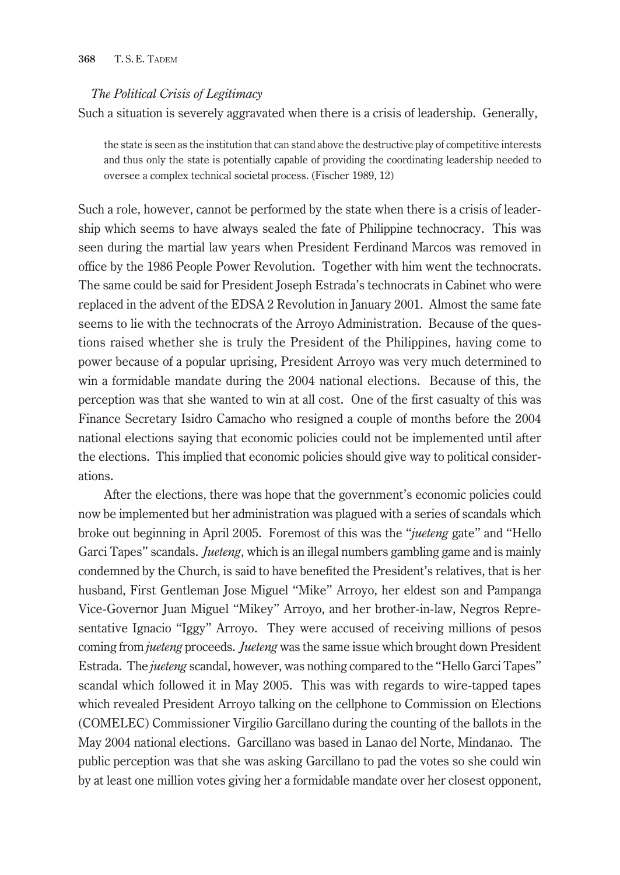#### **368** T. S. E. TADEM

#### *The Political Crisis of Legitimacy*

Such a situation is severely aggravated when there is a crisis of leadership. Generally,

the state is seen as the institution that can stand above the destructive play of competitive interests and thus only the state is potentially capable of providing the coordinating leadership needed to oversee a complex technical societal process. (Fischer 1989, 12)

Such a role, however, cannot be performed by the state when there is a crisis of leadership which seems to have always sealed the fate of Philippine technocracy. This was seen during the martial law years when President Ferdinand Marcos was removed in office by the 1986 People Power Revolution. Together with him went the technocrats. The same could be said for President Joseph Estrada's technocrats in Cabinet who were replaced in the advent of the EDSA 2 Revolution in January 2001. Almost the same fate seems to lie with the technocrats of the Arroyo Administration. Because of the questions raised whether she is truly the President of the Philippines, having come to power because of a popular uprising, President Arroyo was very much determined to win a formidable mandate during the 2004 national elections. Because of this, the perception was that she wanted to win at all cost. One of the first casualty of this was Finance Secretary Isidro Camacho who resigned a couple of months before the 2004 national elections saying that economic policies could not be implemented until after the elections. This implied that economic policies should give way to political considerations.

After the elections, there was hope that the government's economic policies could now be implemented but her administration was plagued with a series of scandals which broke out beginning in April 2005. Foremost of this was the "*jueteng* gate" and "Hello Garci Tapes" scandals. *Jueteng*, which is an illegal numbers gambling game and is mainly condemned by the Church, is said to have benefited the President's relatives, that is her husband, First Gentleman Jose Miguel "Mike" Arroyo, her eldest son and Pampanga Vice-Governor Juan Miguel "Mikey" Arroyo, and her brother-in-law, Negros Representative Ignacio "Iggy" Arroyo. They were accused of receiving millions of pesos coming from *jueteng* proceeds. *Jueteng* was the same issue which brought down President Estrada. The *jueteng* scandal, however, was nothing compared to the "Hello Garci Tapes" scandal which followed it in May 2005. This was with regards to wire-tapped tapes which revealed President Arroyo talking on the cellphone to Commission on Elections (COMELEC) Commissioner Virgilio Garcillano during the counting of the ballots in the May 2004 national elections. Garcillano was based in Lanao del Norte, Mindanao. The public perception was that she was asking Garcillano to pad the votes so she could win by at least one million votes giving her a formidable mandate over her closest opponent,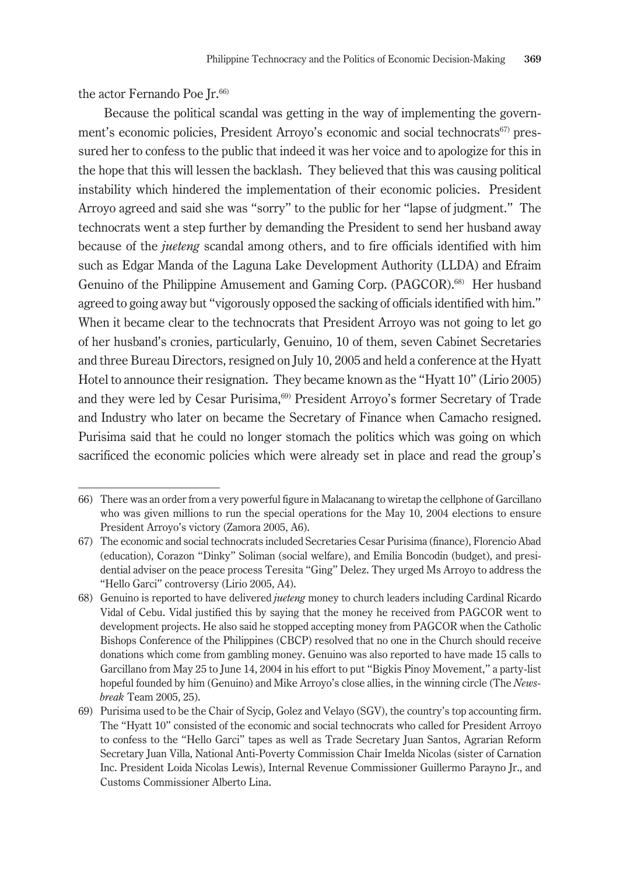the actor Fernando Poe Ir.<sup>66)</sup>

Because the political scandal was getting in the way of implementing the government's economic policies, President Arroyo's economic and social technocrats<sup>67)</sup> pressured her to confess to the public that indeed it was her voice and to apologize for this in the hope that this will lessen the backlash. They believed that this was causing political instability which hindered the implementation of their economic policies. President Arroyo agreed and said she was "sorry" to the public for her "lapse of judgment." The technocrats went a step further by demanding the President to send her husband away because of the *jueteng* scandal among others, and to fire officials identified with him such as Edgar Manda of the Laguna Lake Development Authority (LLDA) and Efraim Genuino of the Philippine Amusement and Gaming Corp. (PAGCOR).68) Her husband agreed to going away but "vigorously opposed the sacking of officials identified with him." When it became clear to the technocrats that President Arroyo was not going to let go of her husband's cronies, particularly, Genuino, 10 of them, seven Cabinet Secretaries and three Bureau Directors, resigned on July 10, 2005 and held a conference at the Hyatt Hotel to announce their resignation. They became known as the "Hyatt 10" (Lirio 2005) and they were led by Cesar Purisima,<sup>69)</sup> President Arroyo's former Secretary of Trade and Industry who later on became the Secretary of Finance when Camacho resigned. Purisima said that he could no longer stomach the politics which was going on which sacrificed the economic policies which were already set in place and read the group's

<sup>66)</sup> There was an order from a very powerful figure in Malacanang to wiretap the cellphone of Garcillano who was given millions to run the special operations for the May 10, 2004 elections to ensure President Arroyo's victory (Zamora 2005, A6).

<sup>67)</sup> The economic and social technocrats included Secretaries Cesar Purisima (finance), Florencio Abad (education), Corazon "Dinky" Soliman (social welfare), and Emilia Boncodin (budget), and presidential adviser on the peace process Teresita "Ging" Delez. They urged Ms Arroyo to address the "Hello Garci" controversy (Lirio 2005, A4).

<sup>68)</sup> Genuino is reported to have delivered *jueteng* money to church leaders including Cardinal Ricardo Vidal of Cebu. Vidal justified this by saying that the money he received from PAGCOR went to development projects. He also said he stopped accepting money from PAGCOR when the Catholic Bishops Conference of the Philippines (CBCP) resolved that no one in the Church should receive donations which come from gambling money. Genuino was also reported to have made 15 calls to Garcillano from May 25 to June 14, 2004 in his effort to put "Bigkis Pinoy Movement," a party-list hopeful founded by him (Genuino) and Mike Arroyo's close allies, in the winning circle (The *Newsbreak* Team 2005, 25).

<sup>69)</sup> Purisima used to be the Chair of Sycip, Golez and Velayo (SGV), the country's top accounting firm. The "Hyatt 10" consisted of the economic and social technocrats who called for President Arroyo to confess to the "Hello Garci" tapes as well as Trade Secretary Juan Santos, Agrarian Reform Secretary Juan Villa, National Anti-Poverty Commission Chair Imelda Nicolas (sister of Carnation Inc. President Loida Nicolas Lewis), Internal Revenue Commissioner Guillermo Parayno Jr., and Customs Commissioner Alberto Lina.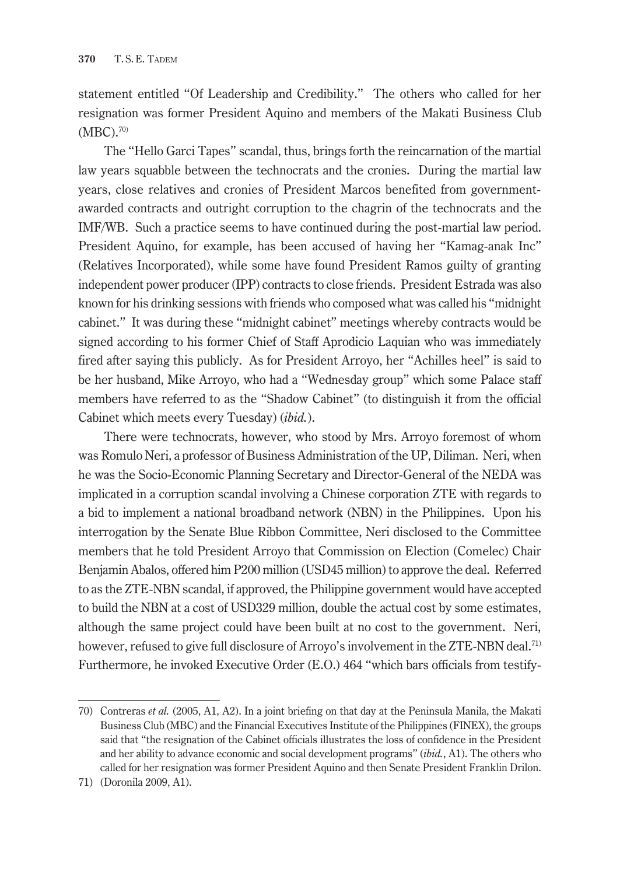statement entitled "Of Leadership and Credibility." The others who called for her resignation was former President Aquino and members of the Makati Business Club  $(MBC).^{70}$ 

The "Hello Garci Tapes" scandal, thus, brings forth the reincarnation of the martial law years squabble between the technocrats and the cronies. During the martial law years, close relatives and cronies of President Marcos benefited from governmentawarded contracts and outright corruption to the chagrin of the technocrats and the IMF/WB. Such a practice seems to have continued during the post-martial law period. President Aquino, for example, has been accused of having her "Kamag-anak Inc" (Relatives Incorporated), while some have found President Ramos guilty of granting independent power producer (IPP) contracts to close friends. President Estrada was also known for his drinking sessions with friends who composed what was called his "midnight cabinet." It was during these "midnight cabinet" meetings whereby contracts would be signed according to his former Chief of Staff Aprodicio Laquian who was immediately fired after saying this publicly. As for President Arroyo, her "Achilles heel" is said to be her husband, Mike Arroyo, who had a "Wednesday group" which some Palace staff members have referred to as the "Shadow Cabinet" (to distinguish it from the official Cabinet which meets every Tuesday) (*ibid.*).

There were technocrats, however, who stood by Mrs. Arroyo foremost of whom was Romulo Neri, a professor of Business Administration of the UP, Diliman. Neri, when he was the Socio-Economic Planning Secretary and Director-General of the NEDA was implicated in a corruption scandal involving a Chinese corporation ZTE with regards to a bid to implement a national broadband network (NBN) in the Philippines. Upon his interrogation by the Senate Blue Ribbon Committee, Neri disclosed to the Committee members that he told President Arroyo that Commission on Election (Comelec) Chair Benjamin Abalos, offered him P200 million (USD45 million) to approve the deal. Referred to as the ZTE-NBN scandal, if approved, the Philippine government would have accepted to build the NBN at a cost of USD329 million, double the actual cost by some estimates, although the same project could have been built at no cost to the government. Neri, however, refused to give full disclosure of Arroyo's involvement in the ZTE-NBN deal.<sup>71)</sup> Furthermore, he invoked Executive Order (E.O.) 464 "which bars officials from testify-

<sup>70)</sup> Contreras *et al.* (2005, A1, A2). In a joint briefing on that day at the Peninsula Manila, the Makati Business Club (MBC) and the Financial Executives Institute of the Philippines (FINEX), the groups said that "the resignation of the Cabinet officials illustrates the loss of confidence in the President and her ability to advance economic and social development programs" (*ibid.*, A1). The others who called for her resignation was former President Aquino and then Senate President Franklin Drilon.

<sup>71)</sup> (Doronila 2009, A1).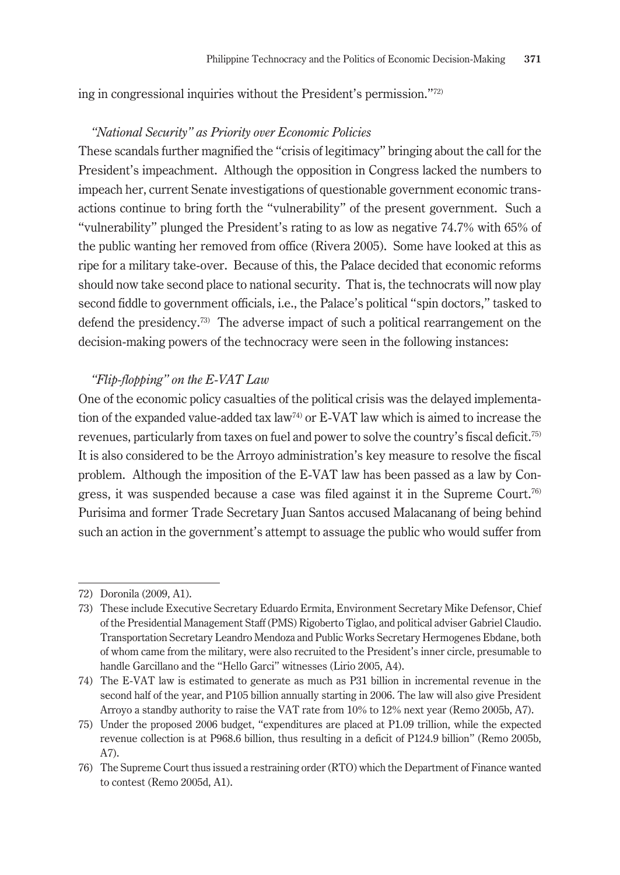ing in congressional inquiries without the President's permission."72)

## *"National Security" as Priority over Economic Policies*

These scandals further magnified the "crisis of legitimacy" bringing about the call for the President's impeachment. Although the opposition in Congress lacked the numbers to impeach her, current Senate investigations of questionable government economic transactions continue to bring forth the "vulnerability" of the present government. Such a "vulnerability" plunged the President's rating to as low as negative 74.7% with 65% of the public wanting her removed from office (Rivera 2005). Some have looked at this as ripe for a military take-over. Because of this, the Palace decided that economic reforms should now take second place to national security. That is, the technocrats will now play second fiddle to government officials, i.e., the Palace's political "spin doctors," tasked to defend the presidency.73) The adverse impact of such a political rearrangement on the decision-making powers of the technocracy were seen in the following instances:

## *"Flip-flopping" on the E-VAT Law*

One of the economic policy casualties of the political crisis was the delayed implementation of the expanded value-added tax law<sup>74)</sup> or E-VAT law which is aimed to increase the revenues, particularly from taxes on fuel and power to solve the country's fiscal deficit.75) It is also considered to be the Arroyo administration's key measure to resolve the fiscal problem. Although the imposition of the E-VAT law has been passed as a law by Congress, it was suspended because a case was filed against it in the Supreme Court.<sup>76)</sup> Purisima and former Trade Secretary Juan Santos accused Malacanang of being behind such an action in the government's attempt to assuage the public who would suffer from

<sup>72)</sup> Doronila (2009, A1).

<sup>73)</sup> These include Executive Secretary Eduardo Ermita, Environment Secretary Mike Defensor, Chief of the Presidential Management Staff (PMS) Rigoberto Tiglao, and political adviser Gabriel Claudio. Transportation Secretary Leandro Mendoza and Public Works Secretary Hermogenes Ebdane, both of whom came from the military, were also recruited to the President's inner circle, presumable to handle Garcillano and the "Hello Garci" witnesses (Lirio 2005, A4).

<sup>74)</sup> The E-VAT law is estimated to generate as much as P31 billion in incremental revenue in the second half of the year, and P105 billion annually starting in 2006. The law will also give President Arroyo a standby authority to raise the VAT rate from 10% to 12% next year (Remo 2005b, A7).

<sup>75)</sup> Under the proposed 2006 budget, "expenditures are placed at P1.09 trillion, while the expected revenue collection is at P968.6 billion, thus resulting in a deficit of P124.9 billion" (Remo 2005b, A7).

<sup>76)</sup> The Supreme Court thus issued a restraining order (RTO) which the Department of Finance wanted to contest (Remo 2005d, A1).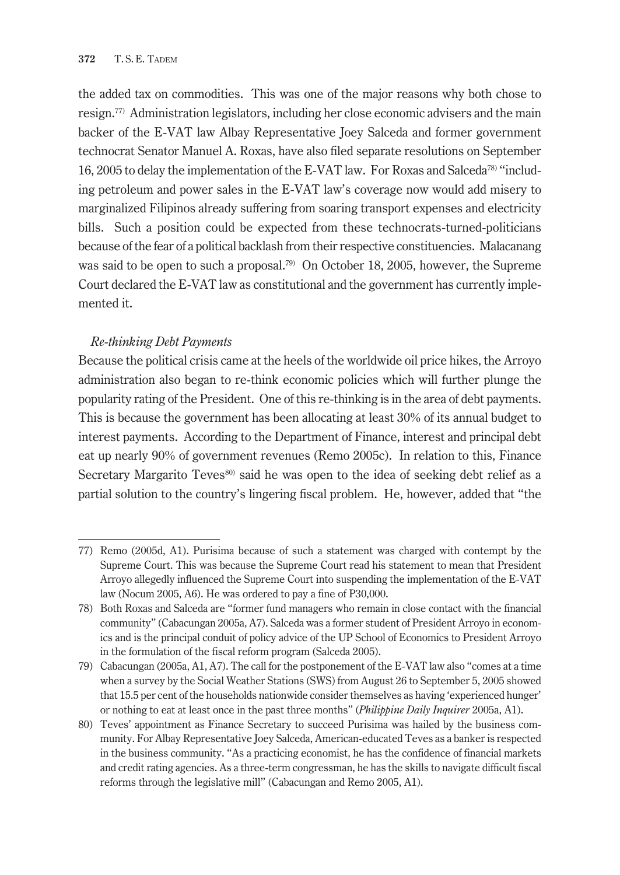the added tax on commodities. This was one of the major reasons why both chose to resign.77) Administration legislators, including her close economic advisers and the main backer of the E-VAT law Albay Representative Joey Salceda and former government technocrat Senator Manuel A. Roxas, have also filed separate resolutions on September 16, 2005 to delay the implementation of the E-VAT law. For Roxas and Salceda78) "including petroleum and power sales in the E-VAT law's coverage now would add misery to marginalized Filipinos already suffering from soaring transport expenses and electricity bills. Such a position could be expected from these technocrats-turned-politicians because of the fear of a political backlash from their respective constituencies. Malacanang was said to be open to such a proposal.<sup>79)</sup> On October 18, 2005, however, the Supreme Court declared the E-VAT law as constitutional and the government has currently implemented it.

# *Re-thinking Debt Payments*

Because the political crisis came at the heels of the worldwide oil price hikes, the Arroyo administration also began to re-think economic policies which will further plunge the popularity rating of the President. One of this re-thinking is in the area of debt payments. This is because the government has been allocating at least 30% of its annual budget to interest payments. According to the Department of Finance, interest and principal debt eat up nearly 90% of government revenues (Remo 2005c). In relation to this, Finance Secretary Margarito Teves<sup>80</sup> said he was open to the idea of seeking debt relief as a partial solution to the country's lingering fiscal problem. He, however, added that "the

<sup>77)</sup> Remo (2005d, A1). Purisima because of such a statement was charged with contempt by the Supreme Court. This was because the Supreme Court read his statement to mean that President Arroyo allegedly influenced the Supreme Court into suspending the implementation of the E-VAT law (Nocum 2005, A6). He was ordered to pay a fine of P30,000.

<sup>78)</sup> Both Roxas and Salceda are "former fund managers who remain in close contact with the financial community" (Cabacungan 2005a, A7). Salceda was a former student of President Arroyo in economics and is the principal conduit of policy advice of the UP School of Economics to President Arroyo in the formulation of the fiscal reform program (Salceda 2005).

<sup>79)</sup> Cabacungan (2005a, A1, A7). The call for the postponement of the E-VAT law also "comes at a time when a survey by the Social Weather Stations (SWS) from August 26 to September 5, 2005 showed that 15.5 per cent of the households nationwide consider themselves as having 'experienced hunger' or nothing to eat at least once in the past three months" (*Philippine Daily Inquirer* 2005a, A1).

<sup>80)</sup> Teves' appointment as Finance Secretary to succeed Purisima was hailed by the business community. For Albay Representative Joey Salceda, American-educated Teves as a banker is respected in the business community. "As a practicing economist, he has the confidence of financial markets and credit rating agencies. As a three-term congressman, he has the skills to navigate difficult fiscal reforms through the legislative mill" (Cabacungan and Remo 2005, A1).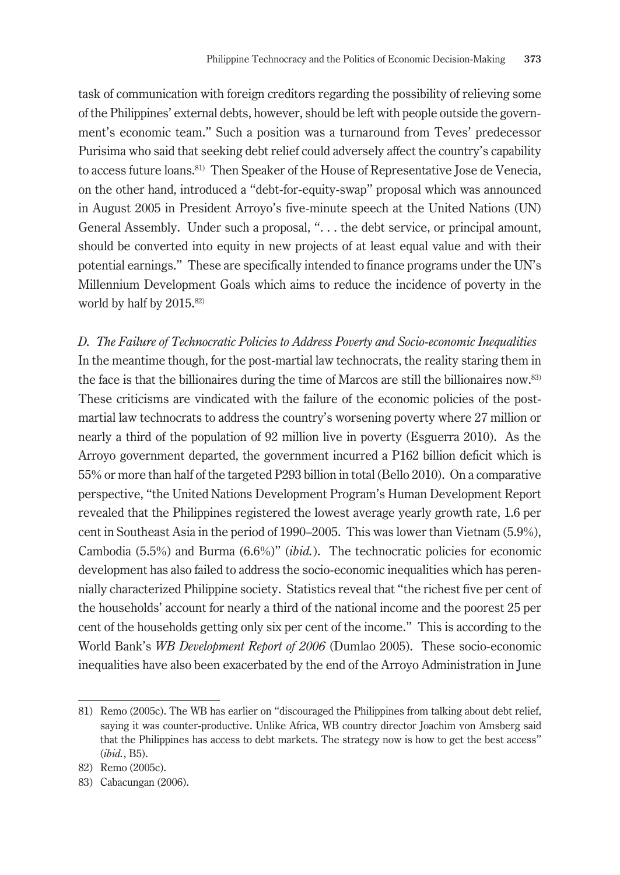task of communication with foreign creditors regarding the possibility of relieving some of the Philippines' external debts, however, should be left with people outside the government's economic team." Such a position was a turnaround from Teves' predecessor Purisima who said that seeking debt relief could adversely affect the country's capability to access future loans.81) Then Speaker of the House of Representative Jose de Venecia, on the other hand, introduced a "debt-for-equity-swap" proposal which was announced in August 2005 in President Arroyo's five-minute speech at the United Nations (UN) General Assembly. Under such a proposal, ". . . the debt service, or principal amount, should be converted into equity in new projects of at least equal value and with their potential earnings." These are specifically intended to finance programs under the UN's Millennium Development Goals which aims to reduce the incidence of poverty in the world by half by 2015.<sup>82)</sup>

*D. The Failure of Technocratic Policies to Address Poverty and Socio-economic Inequalities* In the meantime though, for the post-martial law technocrats, the reality staring them in the face is that the billionaires during the time of Marcos are still the billionaires now.83) These criticisms are vindicated with the failure of the economic policies of the postmartial law technocrats to address the country's worsening poverty where 27 million or nearly a third of the population of 92 million live in poverty (Esguerra 2010). As the Arroyo government departed, the government incurred a P162 billion deficit which is 55% or more than half of the targeted P293 billion in total (Bello 2010). On a comparative perspective, "the United Nations Development Program's Human Development Report revealed that the Philippines registered the lowest average yearly growth rate, 1.6 per cent in Southeast Asia in the period of 1990–2005. This was lower than Vietnam (5.9%), Cambodia (5.5%) and Burma (6.6%)" (*ibid.*). The technocratic policies for economic development has also failed to address the socio-economic inequalities which has perennially characterized Philippine society. Statistics reveal that "the richest five per cent of the households' account for nearly a third of the national income and the poorest 25 per cent of the households getting only six per cent of the income." This is according to the World Bank's *WB Development Report of 2006* (Dumlao 2005). These socio-economic inequalities have also been exacerbated by the end of the Arroyo Administration in June

<sup>81)</sup> Remo (2005c). The WB has earlier on "discouraged the Philippines from talking about debt relief, saying it was counter-productive. Unlike Africa, WB country director Joachim von Amsberg said that the Philippines has access to debt markets. The strategy now is how to get the best access" (*ibid.*, B5).

<sup>82)</sup> Remo (2005c).

<sup>83)</sup> Cabacungan (2006).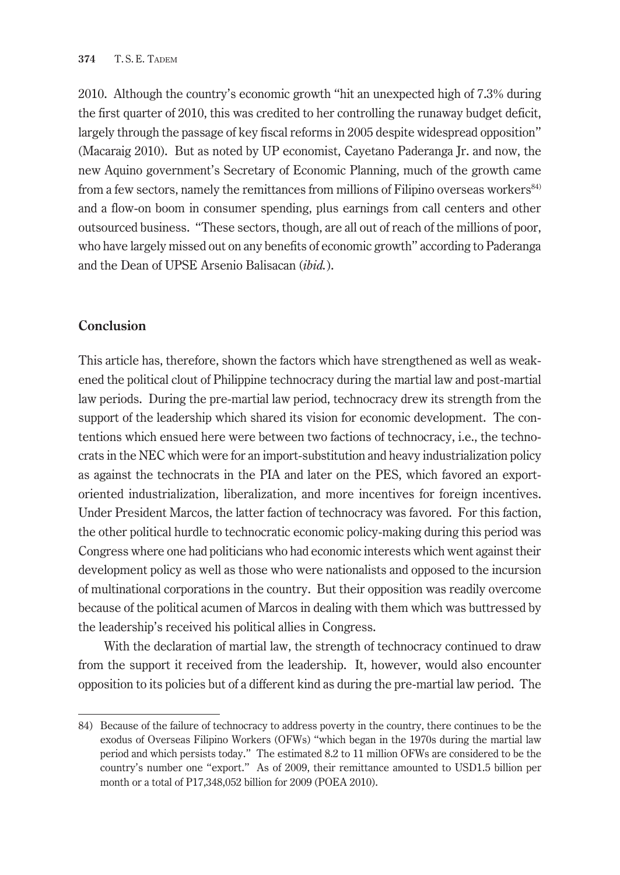2010. Although the country's economic growth "hit an unexpected high of 7.3% during the first quarter of 2010, this was credited to her controlling the runaway budget deficit, largely through the passage of key fiscal reforms in 2005 despite widespread opposition" (Macaraig 2010). But as noted by UP economist, Cayetano Paderanga Jr. and now, the new Aquino government's Secretary of Economic Planning, much of the growth came from a few sectors, namely the remittances from millions of Filipino overseas workers<sup>84)</sup> and a flow-on boom in consumer spending, plus earnings from call centers and other outsourced business. "These sectors, though, are all out of reach of the millions of poor, who have largely missed out on any benefits of economic growth" according to Paderanga and the Dean of UPSE Arsenio Balisacan (*ibid.*).

# **Conclusion**

This article has, therefore, shown the factors which have strengthened as well as weakened the political clout of Philippine technocracy during the martial law and post-martial law periods. During the pre-martial law period, technocracy drew its strength from the support of the leadership which shared its vision for economic development. The contentions which ensued here were between two factions of technocracy, i.e., the technocrats in the NEC which were for an import-substitution and heavy industrialization policy as against the technocrats in the PIA and later on the PES, which favored an exportoriented industrialization, liberalization, and more incentives for foreign incentives. Under President Marcos, the latter faction of technocracy was favored. For this faction, the other political hurdle to technocratic economic policy-making during this period was Congress where one had politicians who had economic interests which went against their development policy as well as those who were nationalists and opposed to the incursion of multinational corporations in the country. But their opposition was readily overcome because of the political acumen of Marcos in dealing with them which was buttressed by the leadership's received his political allies in Congress.

With the declaration of martial law, the strength of technocracy continued to draw from the support it received from the leadership. It, however, would also encounter opposition to its policies but of a different kind as during the pre-martial law period. The

<sup>84)</sup> Because of the failure of technocracy to address poverty in the country, there continues to be the exodus of Overseas Filipino Workers (OFWs) "which began in the 1970s during the martial law period and which persists today." The estimated 8.2 to 11 million OFWs are considered to be the country's number one "export." As of 2009, their remittance amounted to USD1.5 billion per month or a total of P17,348,052 billion for 2009 (POEA 2010).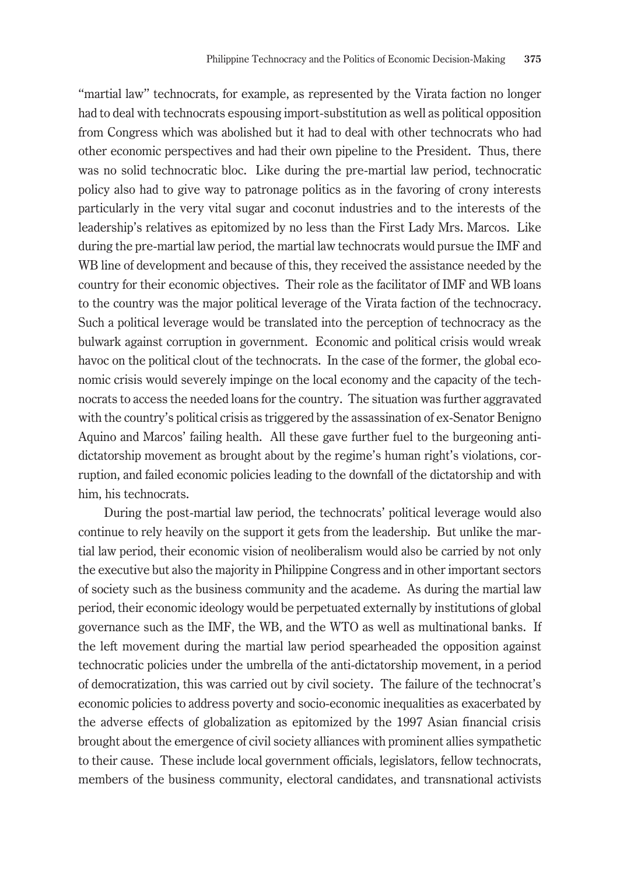"martial law" technocrats, for example, as represented by the Virata faction no longer had to deal with technocrats espousing import-substitution as well as political opposition from Congress which was abolished but it had to deal with other technocrats who had other economic perspectives and had their own pipeline to the President. Thus, there was no solid technocratic bloc. Like during the pre-martial law period, technocratic policy also had to give way to patronage politics as in the favoring of crony interests particularly in the very vital sugar and coconut industries and to the interests of the leadership's relatives as epitomized by no less than the First Lady Mrs. Marcos. Like during the pre-martial law period, the martial law technocrats would pursue the IMF and WB line of development and because of this, they received the assistance needed by the country for their economic objectives. Their role as the facilitator of IMF and WB loans to the country was the major political leverage of the Virata faction of the technocracy. Such a political leverage would be translated into the perception of technocracy as the bulwark against corruption in government. Economic and political crisis would wreak havoc on the political clout of the technocrats. In the case of the former, the global economic crisis would severely impinge on the local economy and the capacity of the technocrats to access the needed loans for the country. The situation was further aggravated with the country's political crisis as triggered by the assassination of ex-Senator Benigno Aquino and Marcos' failing health. All these gave further fuel to the burgeoning antidictatorship movement as brought about by the regime's human right's violations, corruption, and failed economic policies leading to the downfall of the dictatorship and with him, his technocrats.

During the post-martial law period, the technocrats' political leverage would also continue to rely heavily on the support it gets from the leadership. But unlike the martial law period, their economic vision of neoliberalism would also be carried by not only the executive but also the majority in Philippine Congress and in other important sectors of society such as the business community and the academe. As during the martial law period, their economic ideology would be perpetuated externally by institutions of global governance such as the IMF, the WB, and the WTO as well as multinational banks. If the left movement during the martial law period spearheaded the opposition against technocratic policies under the umbrella of the anti-dictatorship movement, in a period of democratization, this was carried out by civil society. The failure of the technocrat's economic policies to address poverty and socio-economic inequalities as exacerbated by the adverse effects of globalization as epitomized by the 1997 Asian financial crisis brought about the emergence of civil society alliances with prominent allies sympathetic to their cause. These include local government officials, legislators, fellow technocrats, members of the business community, electoral candidates, and transnational activists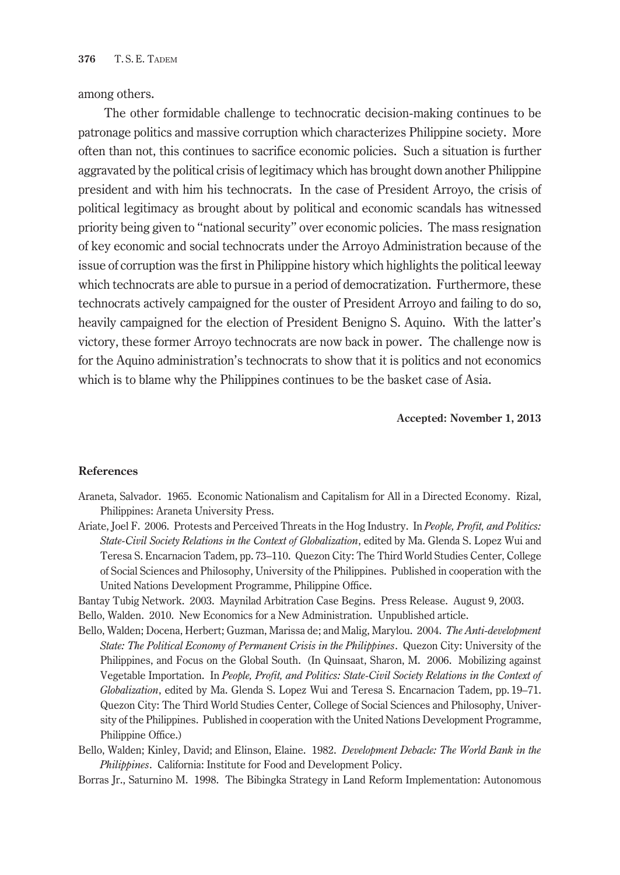among others.

The other formidable challenge to technocratic decision-making continues to be patronage politics and massive corruption which characterizes Philippine society. More often than not, this continues to sacrifice economic policies. Such a situation is further aggravated by the political crisis of legitimacy which has brought down another Philippine president and with him his technocrats. In the case of President Arroyo, the crisis of political legitimacy as brought about by political and economic scandals has witnessed priority being given to "national security" over economic policies. The mass resignation of key economic and social technocrats under the Arroyo Administration because of the issue of corruption was the first in Philippine history which highlights the political leeway which technocrats are able to pursue in a period of democratization. Furthermore, these technocrats actively campaigned for the ouster of President Arroyo and failing to do so, heavily campaigned for the election of President Benigno S. Aquino. With the latter's victory, these former Arroyo technocrats are now back in power. The challenge now is for the Aquino administration's technocrats to show that it is politics and not economics which is to blame why the Philippines continues to be the basket case of Asia.

#### **Accepted: November 1, 2013**

#### **References**

- Araneta, Salvador. 1965. Economic Nationalism and Capitalism for All in a Directed Economy. Rizal, Philippines: Araneta University Press.
- Ariate, Joel F. 2006. Protests and Perceived Threats in the Hog Industry. In *People, Profit, and Politics: State-Civil Society Relations in the Context of Globalization*, edited by Ma. Glenda S. Lopez Wui and Teresa S. Encarnacion Tadem, pp. 73–110. Quezon City: The Third World Studies Center, College of Social Sciences and Philosophy, University of the Philippines. Published in cooperation with the United Nations Development Programme, Philippine Office.

Bantay Tubig Network. 2003. Maynilad Arbitration Case Begins. Press Release. August 9, 2003. Bello, Walden. 2010. New Economics for a New Administration. Unpublished article.

- Bello, Walden; Docena, Herbert; Guzman, Marissa de; and Malig, Marylou. 2004. *The Anti-development State: The Political Economy of Permanent Crisis in the Philippines*. Quezon City: University of the Philippines, and Focus on the Global South. (In Quinsaat, Sharon, M. 2006. Mobilizing against Vegetable Importation. In *People, Profit, and Politics: State-Civil Society Relations in the Context of Globalization*, edited by Ma. Glenda S. Lopez Wui and Teresa S. Encarnacion Tadem, pp. 19–71. Quezon City: The Third World Studies Center, College of Social Sciences and Philosophy, University of the Philippines. Published in cooperation with the United Nations Development Programme, Philippine Office.)
- Bello, Walden; Kinley, David; and Elinson, Elaine. 1982. *Development Debacle: The World Bank in the Philippines*. California: Institute for Food and Development Policy.
- Borras Jr., Saturnino M. 1998. The Bibingka Strategy in Land Reform Implementation: Autonomous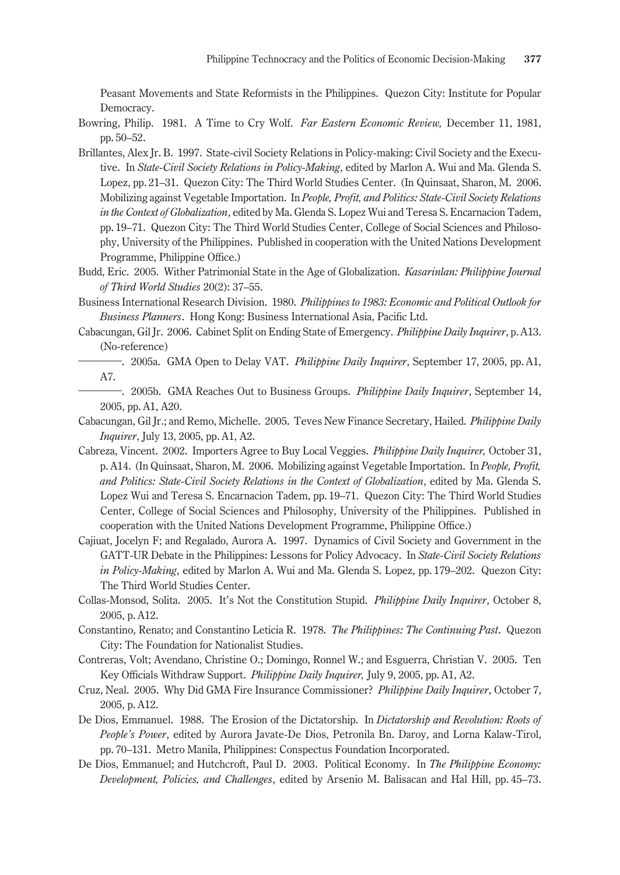Peasant Movements and State Reformists in the Philippines. Quezon City: Institute for Popular Democracy.

- Bowring, Philip. 1981. A Time to Cry Wolf. *Far Eastern Economic Review,* December 11, 1981, pp. 50–52.
- Brillantes, Alex Jr. B. 1997. State-civil Society Relations in Policy-making: Civil Society and the Executive. In *State-Civil Society Relations in Policy-Making*, edited by Marlon A. Wui and Ma. Glenda S. Lopez, pp. 21–31. Quezon City: The Third World Studies Center. (In Quinsaat, Sharon, M. 2006. Mobilizing against Vegetable Importation. In *People, Profit, and Politics: State-Civil Society Relations in the Context of Globalization*, edited by Ma. Glenda S. Lopez Wui and Teresa S. Encarnacion Tadem, pp. 19–71. Quezon City: The Third World Studies Center, College of Social Sciences and Philosophy, University of the Philippines. Published in cooperation with the United Nations Development Programme, Philippine Office.)
- Budd, Eric. 2005. Wither Patrimonial State in the Age of Globalization. *Kasarinlan: Philippine Journal of Third World Studies* 20(2): 37–55.
- Business International Research Division. 1980. *Philippines to 1983: Economic and Political Outlook for Business Planners*. Hong Kong: Business International Asia, Pacific Ltd.
- Cabacungan, Gil Jr. 2006. Cabinet Split on Ending State of Emergency. *Philippine Daily Inquirer*, p.A13. (No-reference)
	- ―. 2005a. GMA Open to Delay VAT. *Philippine Daily Inquirer*, September 17, 2005, pp.A1, A7.
	- ―. 2005b. GMA Reaches Out to Business Groups. *Philippine Daily Inquirer*, September 14, 2005, pp. A1, A20.
- Cabacungan, Gil Jr.; and Remo, Michelle. 2005. Teves New Finance Secretary, Hailed. *Philippine Daily Inquirer*, July 13, 2005, pp. A1, A2.
- Cabreza, Vincent. 2002. Importers Agree to Buy Local Veggies. *Philippine Daily Inquirer,* October 31, p. A14. (In Quinsaat, Sharon, M. 2006. Mobilizing against Vegetable Importation. In *People, Profit, and Politics: State-Civil Society Relations in the Context of Globalization*, edited by Ma. Glenda S. Lopez Wui and Teresa S. Encarnacion Tadem, pp. 19–71. Quezon City: The Third World Studies Center, College of Social Sciences and Philosophy, University of the Philippines. Published in cooperation with the United Nations Development Programme, Philippine Office.)
- Cajiuat, Jocelyn F; and Regalado, Aurora A. 1997. Dynamics of Civil Society and Government in the GATT-UR Debate in the Philippines: Lessons for Policy Advocacy. In *State-Civil Society Relations in Policy-Making*, edited by Marlon A. Wui and Ma. Glenda S. Lopez, pp. 179–202. Quezon City: The Third World Studies Center.
- Collas-Monsod, Solita. 2005. It's Not the Constitution Stupid. *Philippine Daily Inquirer*, October 8, 2005, p. A12.
- Constantino, Renato; and Constantino Leticia R. 1978. *The Philippines: The Continuing Past*. Quezon City: The Foundation for Nationalist Studies.
- Contreras, Volt; Avendano, Christine O.; Domingo, Ronnel W.; and Esguerra, Christian V. 2005. Ten Key Officials Withdraw Support. *Philippine Daily Inquirer,* July 9, 2005, pp.A1, A2.
- Cruz, Neal. 2005. Why Did GMA Fire Insurance Commissioner? *Philippine Daily Inquirer*, October 7, 2005, p.A12.
- De Dios, Emmanuel. 1988. The Erosion of the Dictatorship. In *Dictatorship and Revolution: Roots of People's Power*, edited by Aurora Javate-De Dios, Petronila Bn. Daroy, and Lorna Kalaw-Tirol, pp. 70–131. Metro Manila, Philippines: Conspectus Foundation Incorporated.
- De Dios, Emmanuel; and Hutchcroft, Paul D. 2003. Political Economy. In *The Philippine Economy: Development, Policies, and Challenges*, edited by Arsenio M. Balisacan and Hal Hill, pp. 45–73.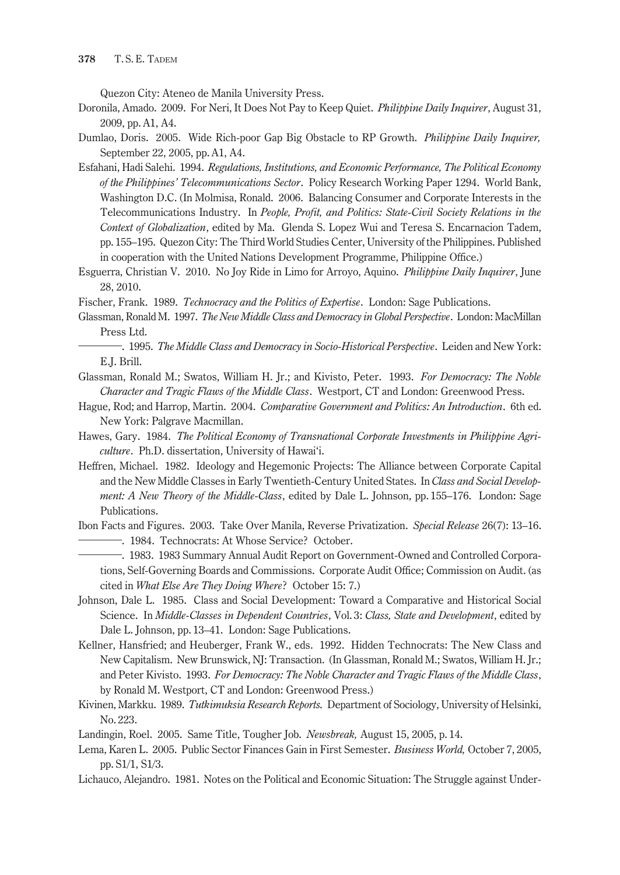Quezon City: Ateneo de Manila University Press.

- Doronila, Amado. 2009. For Neri, It Does Not Pay to Keep Quiet. *Philippine Daily Inquirer*, August 31, 2009, pp. A1, A4.
- Dumlao, Doris. 2005. Wide Rich-poor Gap Big Obstacle to RP Growth. *Philippine Daily Inquirer,* September 22, 2005, pp.A1, A4.
- Esfahani, Hadi Salehi. 1994. *Regulations, Institutions, and Economic Performance, The Political Economy of the Philippines' Telecommunications Sector*. Policy Research Working Paper 1294. World Bank, Washington D.C. (In Molmisa, Ronald. 2006. Balancing Consumer and Corporate Interests in the Telecommunications Industry. In *People, Profit, and Politics: State-Civil Society Relations in the Context of Globalization*, edited by Ma. Glenda S. Lopez Wui and Teresa S. Encarnacion Tadem, pp. 155–195. Quezon City: The Third World Studies Center, University of the Philippines. Published in cooperation with the United Nations Development Programme, Philippine Office.)
- Esguerra, Christian V. 2010. No Joy Ride in Limo for Arroyo, Aquino. *Philippine Daily Inquirer*, June 28, 2010.
- Fischer, Frank. 1989. *Technocracy and the Politics of Expertise*. London: Sage Publications.
- Glassman, Ronald M. 1997. *The New Middle Class and Democracy in Global Perspective*. London: MacMillan Press Ltd.
	- ―. 1995. *The Middle Class and Democracy in Socio-Historical Perspective*. Leiden and New York: E.J. Brill.
- Glassman, Ronald M.; Swatos, William H. Jr.; and Kivisto, Peter. 1993. *For Democracy: The Noble Character and Tragic Flaws of the Middle Class*. Westport, CT and London: Greenwood Press.
- Hague, Rod; and Harrop, Martin. 2004. *Comparative Government and Politics: An Introduction*. 6th ed. New York: Palgrave Macmillan.
- Hawes, Gary. 1984. *The Political Economy of Transnational Corporate Investments in Philippine Agriculture*. Ph.D. dissertation, University of Hawai'i.
- Heffren, Michael. 1982. Ideology and Hegemonic Projects: The Alliance between Corporate Capital and the New Middle Classes in Early Twentieth-Century United States. In *Class and Social Development: A New Theory of the Middle-Class*, edited by Dale L. Johnson, pp. 155–176. London: Sage Publications.
- Ibon Facts and Figures. 2003. Take Over Manila, Reverse Privatization. *Special Release* 26(7): 13–16. ―. 1984. Technocrats: At Whose Service? October. ―. 1983. 1983 Summary Annual Audit Report on Government-Owned and Controlled Corpora
	- tions, Self-Governing Boards and Commissions. Corporate Audit Office; Commission on Audit. (as cited in *What Else Are They Doing Where*? October 15: 7.)
- Johnson, Dale L. 1985. Class and Social Development: Toward a Comparative and Historical Social Science. In *Middle-Classes in Dependent Countries*, Vol. 3: *Class, State and Development*, edited by Dale L. Johnson, pp. 13–41. London: Sage Publications.
- Kellner, Hansfried; and Heuberger, Frank W., eds. 1992. Hidden Technocrats: The New Class and New Capitalism. New Brunswick, NJ: Transaction. (In Glassman, Ronald M.; Swatos, William H. Jr.; and Peter Kivisto. 1993. *For Democracy: The Noble Character and Tragic Flaws of the Middle Class*, by Ronald M. Westport, CT and London: Greenwood Press.)
- Kivinen, Markku. 1989. *Tutkimuksia Research Reports.* Department of Sociology, University of Helsinki, No. 223.

Landingin, Roel. 2005. Same Title, Tougher Job. *Newsbreak,* August 15, 2005, p. 14.

- Lema, Karen L. 2005. Public Sector Finances Gain in First Semester. *Business World,* October 7, 2005, pp. S1/1, S1/3.
- Lichauco, Alejandro. 1981. Notes on the Political and Economic Situation: The Struggle against Under-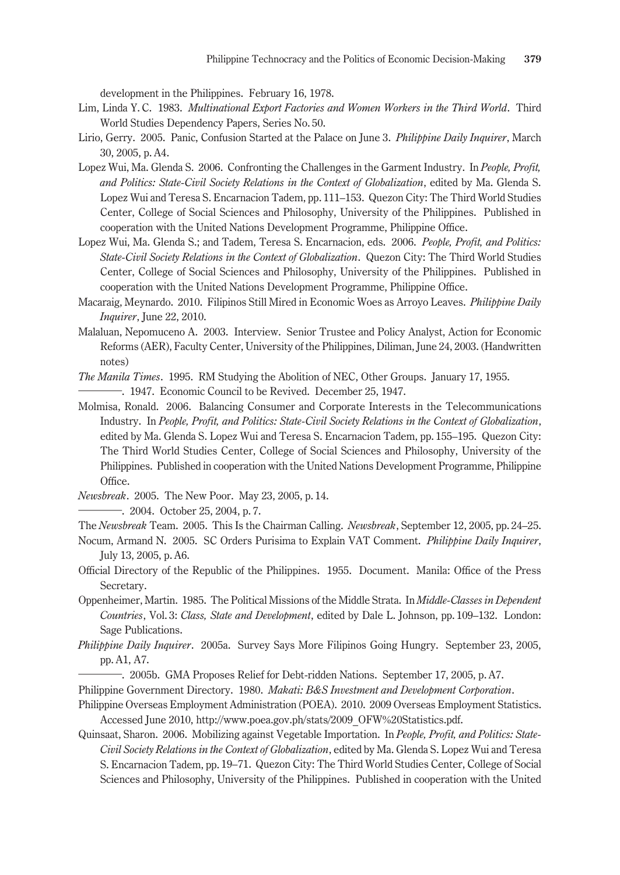development in the Philippines. February 16, 1978.

- Lim, Linda Y. C. 1983. *Multinational Export Factories and Women Workers in the Third World*. Third World Studies Dependency Papers, Series No. 50.
- Lirio, Gerry. 2005. Panic, Confusion Started at the Palace on June 3. *Philippine Daily Inquirer*, March 30, 2005, p.A4.
- Lopez Wui, Ma. Glenda S. 2006. Confronting the Challenges in the Garment Industry. In *People, Profit, and Politics: State-Civil Society Relations in the Context of Globalization*, edited by Ma. Glenda S. Lopez Wui and Teresa S. Encarnacion Tadem, pp. 111–153. Quezon City: The Third World Studies Center, College of Social Sciences and Philosophy, University of the Philippines. Published in cooperation with the United Nations Development Programme, Philippine Office.
- Lopez Wui, Ma. Glenda S.; and Tadem, Teresa S. Encarnacion, eds. 2006. *People, Profit, and Politics: State-Civil Society Relations in the Context of Globalization*. Quezon City: The Third World Studies Center, College of Social Sciences and Philosophy, University of the Philippines. Published in cooperation with the United Nations Development Programme, Philippine Office.
- Macaraig, Meynardo. 2010. Filipinos Still Mired in Economic Woes as Arroyo Leaves. *Philippine Daily Inquirer*, June 22, 2010.
- Malaluan, Nepomuceno A. 2003. Interview. Senior Trustee and Policy Analyst, Action for Economic Reforms (AER), Faculty Center, University of the Philippines, Diliman, June 24, 2003. (Handwritten notes)
- *The Manila Times*. 1995. RM Studying the Abolition of NEC, Other Groups. January 17, 1955. notes)<br>
The Manila Times. 1995. RM Studying the Abolition of NEC, Other Growth Times. 1947. Economic Council to be Revived. December 25, 1947.

Molmisa, Ronald. 2006. Balancing Consumer and Corporate Interests in the Telecommunications Industry. In *People, Profit, and Politics: State-Civil Society Relations in the Context of Globalization*, edited by Ma. Glenda S. Lopez Wui and Teresa S. Encarnacion Tadem, pp. 155–195. Quezon City: The Third World Studies Center, College of Social Sciences and Philosophy, University of the Philippines. Published in cooperation with the United Nations Development Programme, Philippine Office.

*Newsbreak*. 2005. The New Poor. May 23, 2005, p. 14. Office.<br> *Newsbreak*. 2005. The New Poor. May<br>
—————. 2004. October 25, 2004, p.7.

The *Newsbreak* Team. 2005. This Is the Chairman Calling. *Newsbreak*, September 12, 2005, pp. 24–25.

- Nocum, Armand N. 2005. SC Orders Purisima to Explain VAT Comment. *Philippine Daily Inquirer*, July 13, 2005, p. A6.
- Official Directory of the Republic of the Philippines. 1955. Document. Manila: Office of the Press Secretary.
- Oppenheimer, Martin. 1985. The Political Missions of the Middle Strata. In *Middle-Classes in Dependent Countries*, Vol. 3: *Class, State and Development*, edited by Dale L. Johnson, pp. 109–132. London: Sage Publications.
- *Philippine Daily Inquirer*. 2005a. Survey Says More Filipinos Going Hungry. September 23, 2005, pp. A1, A7.
	- ―. 2005b. GMA Proposes Relief for Debt-ridden Nations. September 17, 2005, p.A7.
- Philippine Government Directory. 1980. *Makati: B&S Investment and Development Corporation*.
- Philippine Overseas Employment Administration (POEA). 2010. 2009 Overseas Employment Statistics. Accessed June 2010, http://www.poea.gov.ph/stats/2009\_OFW%20Statistics.pdf.
- Quinsaat, Sharon. 2006. Mobilizing against Vegetable Importation. In *People, Profit, and Politics: State-Civil Society Relations in the Context of Globalization*, edited by Ma. Glenda S. Lopez Wui and Teresa S. Encarnacion Tadem, pp. 19–71. Quezon City: The Third World Studies Center, College of Social Sciences and Philosophy, University of the Philippines. Published in cooperation with the United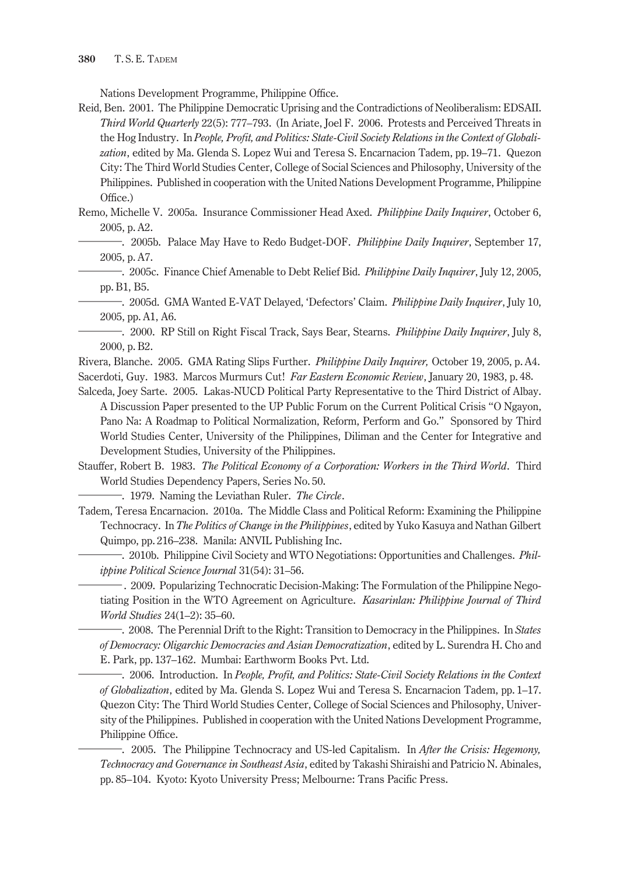Nations Development Programme, Philippine Office.

- Reid, Ben. 2001. The Philippine Democratic Uprising and the Contradictions of Neoliberalism: EDSAII. *Third World Quarterly* 22(5): 777–793. (In Ariate, Joel F. 2006. Protests and Perceived Threats in the Hog Industry. In *People, Profit, and Politics: State-Civil Society Relations in the Context of Globalization*, edited by Ma. Glenda S. Lopez Wui and Teresa S. Encarnacion Tadem, pp. 19–71. Quezon City: The Third World Studies Center, College of Social Sciences and Philosophy, University of the Philippines. Published in cooperation with the United Nations Development Programme, Philippine Office.)
- Remo, Michelle V. 2005a. Insurance Commissioner Head Axed. *Philippine Daily Inquirer*, October 6, 2005, p. A2.
- ―. 2005b. Palace May Have to Redo Budget-DOF. *Philippine Daily Inquirer*, September 17, 2005, p. A7.
	- ―. 2005c. Finance Chief Amenable to Debt Relief Bid. *Philippine Daily Inquirer*, July 12, 2005, pp.B1, B5.
	- ―. 2005d. GMA Wanted E-VAT Delayed, 'Defectors' Claim. *Philippine Daily Inquirer*, July 10, 2005, pp. A1, A6.
- ―. 2000. RP Still on Right Fiscal Track, Says Bear, Stearns. *Philippine Daily Inquirer*, July 8, 2000, p.B2.
- Rivera, Blanche. 2005. GMA Rating Slips Further. *Philippine Daily Inquirer,* October 19, 2005, p.A4. Sacerdoti, Guy. 1983. Marcos Murmurs Cut! *Far Eastern Economic Review*, January 20, 1983, p. 48.
- Salceda, Joey Sarte. 2005. Lakas-NUCD Political Party Representative to the Third District of Albay. A Discussion Paper presented to the UP Public Forum on the Current Political Crisis "O Ngayon, Pano Na: A Roadmap to Political Normalization, Reform, Perform and Go." Sponsored by Third World Studies Center, University of the Philippines, Diliman and the Center for Integrative and Development Studies, University of the Philippines.
- Stauffer, Robert B. 1983. *The Political Economy of a Corporation: Workers in the Third World*. Third World Studies Dependency Papers, Series No. 50.
	- ―. 1979. Naming the Leviathan Ruler. *The Circle*.
- Tadem, Teresa Encarnacion. 2010a. The Middle Class and Political Reform: Examining the Philippine Technocracy. In *The Politics of Change in the Philippines*, edited by Yuko Kasuya and Nathan Gilbert Quimpo, pp. 216–238. Manila: ANVIL Publishing Inc.
	- ―. 2010b. Philippine Civil Society and WTO Negotiations: Opportunities and Challenges. *Philippine Political Science Journal* 31(54): 31–56.
	- ― . 2009. Popularizing Technocratic Decision-Making: The Formulation of the Philippine Negotiating Position in the WTO Agreement on Agriculture. *Kasarinlan: Philippine Journal of Third World Studies* 24(1–2): 35–60.
	- ―. 2008. The Perennial Drift to the Right: Transition to Democracy in the Philippines. In *States of Democracy: Oligarchic Democracies and Asian Democratization*, edited by L. Surendra H. Cho and E. Park, pp. 137–162. Mumbai: Earthworm Books Pvt. Ltd.
	- ―. 2006. Introduction. In *People, Profit, and Politics: State-Civil Society Relations in the Context of Globalization*, edited by Ma. Glenda S. Lopez Wui and Teresa S. Encarnacion Tadem, pp. 1–17. Quezon City: The Third World Studies Center, College of Social Sciences and Philosophy, University of the Philippines. Published in cooperation with the United Nations Development Programme, Philippine Office.
	- ―. 2005. The Philippine Technocracy and US-led Capitalism. In *After the Crisis: Hegemony, Technocracy and Governance in Southeast Asia*, edited by Takashi Shiraishi and Patricio N. Abinales, pp. 85–104. Kyoto: Kyoto University Press; Melbourne: Trans Pacific Press.